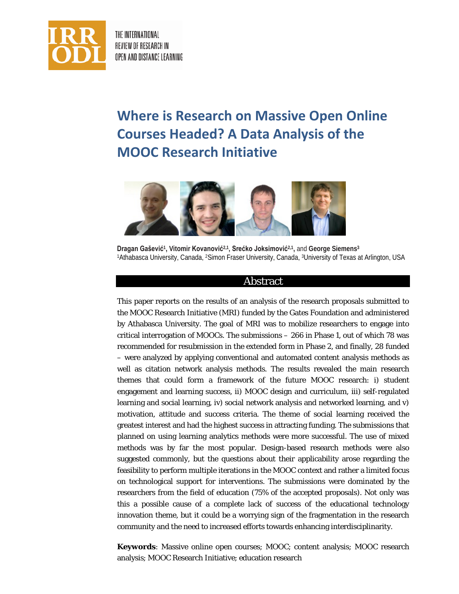

THE INTERNATIONAL REVIEW OF RESEARCH IN OPEN AND DISTANCE LEARNING

# **Where is Research on Massive Open Online Courses Headed? A Data Analysis of the MOOC Research Initiative**



**Dragan Gašević1, Vitomir Kovanović2,1, Srećko Joksimović2,1,** and **George Siemens3** 1Athabasca University, Canada, 2Simon Fraser University, Canada, 3University of Texas at Arlington, USA

### Abstract

This paper reports on the results of an analysis of the research proposals submitted to the MOOC Research Initiative (MRI) funded by the Gates Foundation and administered by Athabasca University. The goal of MRI was to mobilize researchers to engage into critical interrogation of MOOCs. The submissions – 266 in Phase 1, out of which 78 was recommended for resubmission in the extended form in Phase 2, and finally, 28 funded – were analyzed by applying conventional and automated content analysis methods as well as citation network analysis methods. The results revealed the main research themes that could form a framework of the future MOOC research: i) student engagement and learning success, ii) MOOC design and curriculum, iii) self-regulated learning and social learning, iv) social network analysis and networked learning, and v) motivation, attitude and success criteria. The theme of social learning received the greatest interest and had the highest success in attracting funding. The submissions that planned on using learning analytics methods were more successful. The use of mixed methods was by far the most popular. Design-based research methods were also suggested commonly, but the questions about their applicability arose regarding the feasibility to perform multiple iterations in the MOOC context and rather a limited focus on technological support for interventions. The submissions were dominated by the researchers from the field of education (75% of the accepted proposals). Not only was this a possible cause of a complete lack of success of the educational technology innovation theme, but it could be a worrying sign of the fragmentation in the research community and the need to increased efforts towards enhancing interdisciplinarity.

**Keywords**: Massive online open courses; MOOC; content analysis; MOOC research analysis; MOOC Research Initiative; education research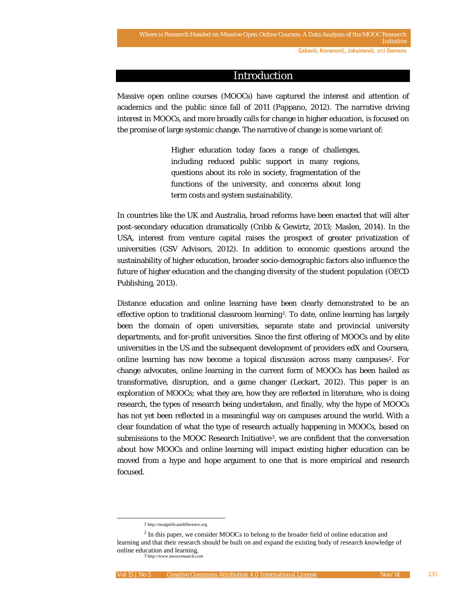### Introduction

Massive open online courses (MOOCs) have captured the interest and attention of academics and the public since fall of 2011 (Pappano, 2012). The narrative driving interest in MOOCs, and more broadly calls for change in higher education, is focused on the promise of large systemic change. The narrative of change is some variant of:

> Higher education today faces a range of challenges, including reduced public support in many regions, questions about its role in society, fragmentation of the functions of the university, and concerns about long term costs and system sustainability.

In countries like the UK and Australia, broad reforms have been enacted that will alter post-secondary education dramatically (Cribb & Gewirtz, 2013; Maslen, 2014). In the USA, interest from venture capital raises the prospect of greater privatization of universities (GSV Advisors, 2012). In addition to economic questions around the sustainability of higher education, broader socio-demographic factors also influence the future of higher education and the changing diversity of the student population (OECD Publishing, 2013).

Distance education and online learning have been clearly demonstrated to be an effective option to traditional classroom learning[1.](#page-1-0) To date, online learning has largely been the domain of open universities, separate state and provincial university departments, and for-profit universities. Since the first offering of MOOCs and by elite universities in the US and the subsequent development of providers edX and Coursera, online learning has now become a topical discussion across many campuses[2](#page-1-1). For change advocates, online learning in the current form of MOOCs has been hailed as transformative, disruption, and a game changer (Leckart, 2012). This paper is an exploration of MOOCs; what they are, how they are reflected in literature, who is doing research, the types of research being undertaken, and finally, why the hype of MOOCs has not yet been reflected in a meaningful way on campuses around the world. With a clear foundation of what the type of research actually happening in MOOCs, based on submissions to the MOOC Research Initiative[3](#page-1-2), we are confident that the conversation about how MOOCs and online learning will impact existing higher education can be moved from a hype and hope argument to one that is more empirical and research focused.

<sup>1</sup> http:[//nosignificantdifference.org](http://nosignificantdifference.org/)

<span id="page-1-2"></span><span id="page-1-1"></span><span id="page-1-0"></span> $2$  In this paper, we consider MOOCs to belong to the broader field of online education and learning and that their research should be built on and expand the existing body of research knowledge of online education and learning.<br>3 http:[//www.moocresearch.com](http://www.moocresearch.com/)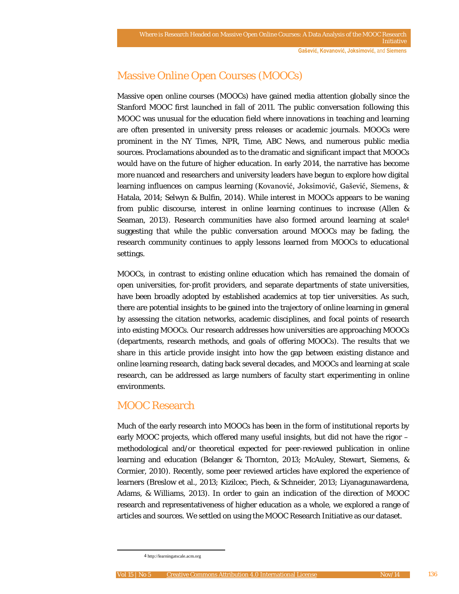## Massive Online Open Courses (MOOCs)

Massive open online courses (MOOCs) have gained media attention globally since the Stanford MOOC first launched in fall of 2011. The public conversation following this MOOC was unusual for the education field where innovations in teaching and learning are often presented in university press releases or academic journals. MOOCs were prominent in the *NY Times*, *NPR*, *Time*, *ABC News*, and numerous public media sources. Proclamations abounded as to the dramatic and significant impact that MOOCs would have on the future of higher education. In early 2014, the narrative has become more nuanced and researchers and university leaders have begun to explore how digital learning influences on campus learning (Kovanović, Joksimović, Gašević, Siemens, & Hatala, 2014; Selwyn & Bulfin, 2014). While interest in MOOCs appears to be waning from public discourse, interest in online learning continues to increase (Allen & Seaman, 2013). Research communities have also formed around learning at scale[4](#page-2-0) suggesting that while the public conversation around MOOCs may be fading, the research community continues to apply lessons learned from MOOCs to educational settings.

MOOCs, in contrast to existing online education which has remained the domain of open universities, for-profit providers, and separate departments of state universities, have been broadly adopted by established academics at top tier universities. As such, there are potential insights to be gained into the trajectory of online learning in general by assessing the citation networks, academic disciplines, and focal points of research into existing MOOCs. Our research addresses how universities are approaching MOOCs (departments, research methods, and goals of offering MOOCs). The results that we share in this article provide insight into how the gap between existing distance and online learning research, dating back several decades, and MOOCs and learning at scale research, can be addressed as large numbers of faculty start experimenting in online environments.

### MOOC Research

Much of the early research into MOOCs has been in the form of institutional reports by early MOOC projects, which offered many useful insights, but did not have the rigor – methodological and/or theoretical expected for peer-reviewed publication in online learning and education (Belanger & Thornton, 2013; McAuley, Stewart, Siemens, & Cormier, 2010). Recently, some peer reviewed articles have explored the experience of learners (Breslow et al., 2013; Kizilcec, Piech, & Schneider, 2013; Liyanagunawardena, Adams, & Williams, 2013). In order to gain an indication of the direction of MOOC research and representativeness of higher education as a whole, we explored a range of articles and sources. We settled on using the MOOC Research Initiative as our dataset.

<span id="page-2-0"></span><sup>4</sup> http:[//learningatscale.acm.org](http://learningatscale.acm.org/)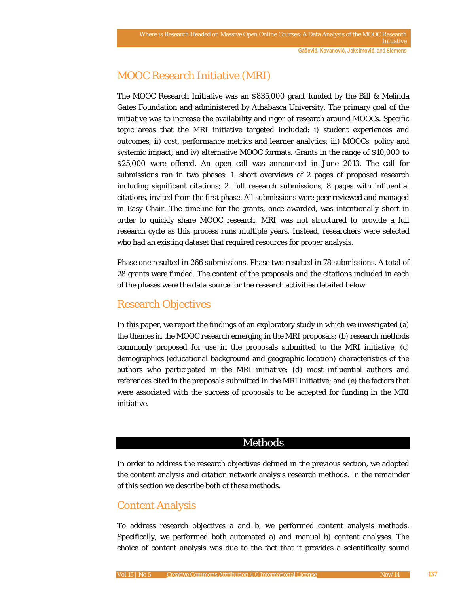### MOOC Research Initiative (MRI)

The MOOC Research Initiative was an \$835,000 grant funded by the Bill & Melinda Gates Foundation and administered by Athabasca University. The primary goal of the initiative was to increase the availability and rigor of research around MOOCs. Specific topic areas that the MRI initiative targeted included: i) student experiences and outcomes; ii) cost, performance metrics and learner analytics; iii) MOOCs: policy and systemic impact; and iv) alternative MOOC formats. Grants in the range of \$10,000 to \$25,000 were offered. An open call was announced in June 2013. The call for submissions ran in two phases: 1. short overviews of 2 pages of proposed research including significant citations; 2. full research submissions, 8 pages with influential citations, invited from the first phase. All submissions were peer reviewed and managed in Easy Chair. The timeline for the grants, once awarded, was intentionally short in order to quickly share MOOC research. MRI was not structured to provide a full research cycle as this process runs multiple years. Instead, researchers were selected who had an existing dataset that required resources for proper analysis.

Phase one resulted in 266 submissions. Phase two resulted in 78 submissions. A total of 28 grants were funded. The content of the proposals and the citations included in each of the phases were the data source for the research activities detailed below.

### Research Objectives

In this paper, we report the findings of an exploratory study in which we investigated (a) the themes in the MOOC research emerging in the MRI proposals; (b) research methods commonly proposed for use in the proposals submitted to the MRI initiative, (c) demographics (educational background and geographic location) characteristics of the authors who participated in the MRI initiative; (d) most influential authors and references cited in the proposals submitted in the MRI initiative; and (e) the factors that were associated with the success of proposals to be accepted for funding in the MRI initiative.

### Methods

In order to address the research objectives defined in the previous section, we adopted the content analysis and citation network analysis research methods. In the remainder of this section we describe both of these methods.

### Content Analysis

To address research objectives a and b, we performed content analysis methods. Specifically, we performed both automated a) and manual b) content analyses. The choice of content analysis was due to the fact that it provides a scientifically sound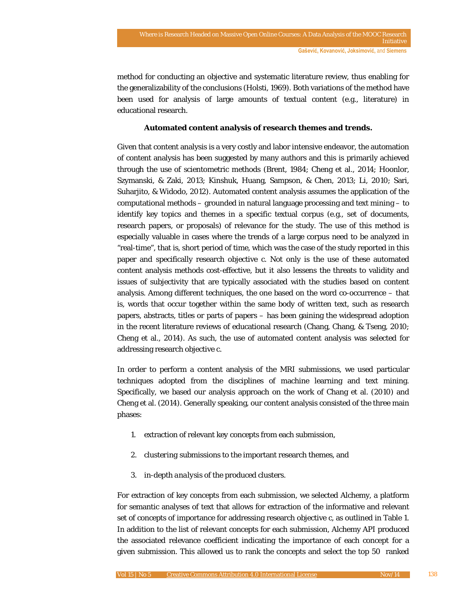method for conducting an objective and systematic literature review, thus enabling for the generalizability of the conclusions (Holsti, 1969). Both variations of the method have been used for analysis of large amounts of textual content (e.g., literature) in educational research.

### **Automated content analysis of research themes and trends.**

Given that content analysis is a very costly and labor intensive endeavor, the automation of content analysis has been suggested by many authors and this is primarily achieved through the use of scientometric methods (Brent, 1984; Cheng et al., 2014; Hoonlor, Szymanski, & Zaki, 2013; Kinshuk, Huang, Sampson, & Chen, 2013; Li, 2010; Sari, Suharjito, & Widodo, 2012). Automated content analysis assumes the application of the computational methods – grounded in natural language processing and text mining – to identify key topics and themes in a specific textual corpus (e.g., set of documents, research papers, or proposals) of relevance for the study. The use of this method is especially valuable in cases where the trends of a large corpus need to be analyzed in "real-time", that is, short period of time, which was the case of the study reported in this paper and specifically research objective c. Not only is the use of these automated content analysis methods cost-effective, but it also lessens the threats to validity and issues of subjectivity that are typically associated with the studies based on content analysis. Among different techniques, the one based on the word co-occurrence – that is, words that occur together within the same body of written text, such as research papers, abstracts, titles or parts of papers – has been gaining the widespread adoption in the recent literature reviews of educational research (Chang, Chang, & Tseng, 2010; Cheng et al., 2014). As such, the use of automated content analysis was selected for addressing research objective c.

In order to perform a content analysis of the MRI submissions, we used particular techniques adopted from the disciplines of machine learning and text mining. Specifically, we based our analysis approach on the work of Chang et al. (2010) and Cheng et al. (2014). Generally speaking, our content analysis consisted of the three main phases:

- 1. extraction of relevant *key concepts* from each submission,
- 2. *clustering* submissions to the important research themes, and
- 3. *in-depth analysis* of the produced clusters.

For extraction of key concepts from each submission, we selected Alchemy, a platform for semantic analyses of text that allows for extraction of the informative and relevant set of concepts of importance for addressing research objective c, as outlined in [Table 1.](#page-6-0) In addition to the list of relevant concepts for each submission, Alchemy API produced the associated relevance coefficient indicating the importance of each concept for a given submission. This allowed us to rank the concepts and select the top 50 ranked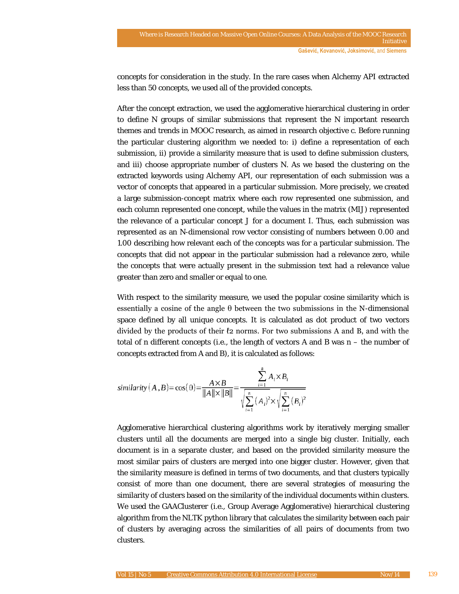concepts for consideration in the study. In the rare cases when Alchemy API extracted less than 50 concepts, we used all of the provided concepts.

After the concept extraction, we used the agglomerative hierarchical clustering in order to define N groups of similar submissions that represent the N important research themes and trends in MOOC research, as aimed in research objective c. Before running the particular clustering algorithm we needed to: i) define a representation of each submission, ii) provide a similarity measure that is used to define submission clusters, and iii) choose appropriate number of clusters N. As we based the clustering on the extracted keywords using Alchemy API, our representation of each submission was a vector of concepts that appeared in a particular submission. More precisely, we created a large submission-concept matrix where each row represented one submission, and each column represented one concept, while the values in the matrix (MIJ) represented the relevance of a particular concept J for a document I. Thus, each submission was represented as an N-dimensional row vector consisting of numbers between 0.00 and 1.00 describing how relevant each of the concepts was for a particular submission. The concepts that did not appear in the particular submission had a relevance zero, while the concepts that were actually present in the submission text had a relevance value greater than zero and smaller or equal to one.

With respect to the similarity measure, we used the popular cosine similarity which is essentially a cosine of the angle  $\theta$  between the two submissions in the N-dimensional space defined by all unique concepts. It is calculated as dot product of two vectors divided by the products of their  $\ell_2$  norms. For two submissions A and B, and with the total of n different concepts (i.e., the length of vectors A and B was n – the number of concepts extracted from A and B), it is calculated as follows:

$$
\text{similarity}(\mathbf{A}, \mathbf{B}) = \cos(\theta) = \frac{\mathbf{A} \times \mathbf{B}}{\|\mathbf{A}\| \times \|\mathbf{B}\|} = \frac{\sum_{i=1}^{n} A_i \times B_i}{\sqrt{\sum_{i=1}^{n} (A_i)^2} \times \sqrt{\sum_{i=1}^{n} (B_i)^2}}
$$

Agglomerative hierarchical clustering algorithms work by iteratively merging smaller clusters until all the documents are merged into a single big cluster. Initially, each document is in a separate cluster, and based on the provided similarity measure the most similar pairs of clusters are merged into one bigger cluster. However, given that the similarity measure is defined in terms of two documents, and that clusters typically consist of more than one document, there are several strategies of measuring the similarity of clusters based on the similarity of the individual documents within clusters. We used the GAAClusterer (i.e., Group Average Agglomerative) hierarchical clustering algorithm from the NLTK python library that calculates the similarity between each pair of clusters by averaging across the similarities of all pairs of documents from two clusters.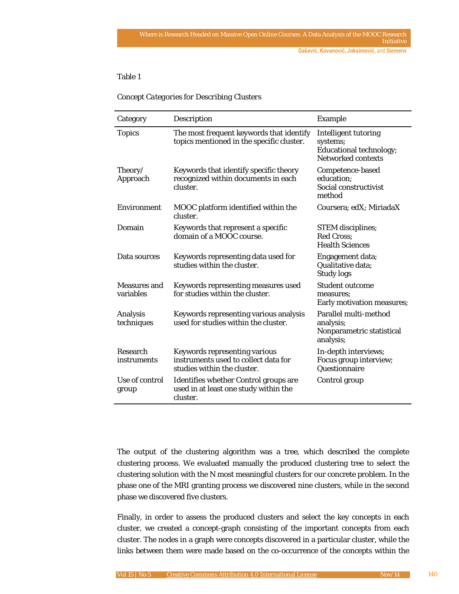#### <span id="page-6-0"></span>*Concept Categories for Describing Clusters*

| Category                  | Description                                                                                          | <b>Example</b>                                                                                         |
|---------------------------|------------------------------------------------------------------------------------------------------|--------------------------------------------------------------------------------------------------------|
| <b>Topics</b>             | The most frequent keywords that identify<br>topics mentioned in the specific cluster.                | <b>Intelligent tutoring</b><br>systems;<br><b>Educational technology;</b><br><b>Networked contexts</b> |
| Theory/<br>Approach       | Keywords that identify specific theory<br>recognized within documents in each<br>cluster.            | Competence-based<br>education;<br>Social constructivist<br>method                                      |
| Environment               | MOOC platform identified within the<br>cluster.                                                      | Coursera; edX; MiriadaX                                                                                |
| Domain                    | Keywords that represent a specific<br>domain of a MOOC course.                                       | <b>STEM</b> disciplines;<br><b>Red Cross:</b><br><b>Health Sciences</b>                                |
| Data sources              | Keywords representing data used for<br>studies within the cluster.                                   | Engagement data;<br>Qualitative data;<br><b>Study logs</b>                                             |
| Measures and<br>variables | Keywords representing measures used<br>for studies within the cluster.                               | <b>Student outcome</b><br>measures:<br>Early motivation measures;                                      |
| Analysis<br>techniques    | Keywords representing various analysis<br>used for studies within the cluster.                       | Parallel multi-method<br>analysis;<br>Nonparametric statistical<br>analysis;                           |
| Research<br>instruments   | Keywords representing various<br>instruments used to collect data for<br>studies within the cluster. | In-depth interviews;<br>Focus group interview;<br>Questionnaire                                        |
| Use of control<br>group   | Identifies whether Control groups are<br>used in at least one study within the<br>cluster.           | Control group                                                                                          |

The output of the clustering algorithm was a tree, which described the complete clustering process. We evaluated manually the produced clustering tree to select the clustering solution with the N most meaningful clusters for our concrete problem. In the phase one of the MRI granting process we discovered nine clusters, while in the second phase we discovered five clusters.

Finally, in order to assess the produced clusters and select the key concepts in each cluster, we created a concept-graph consisting of the important concepts from each cluster. The nodes in a graph were concepts discovered in a particular cluster, while the links between them were made based on the co-occurrence of the concepts within the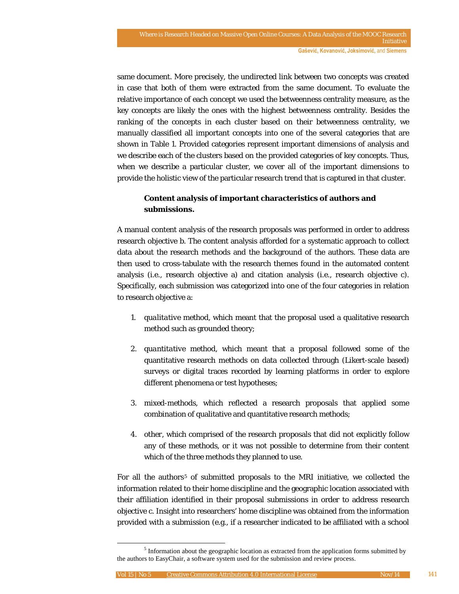same document. More precisely, the undirected link between two concepts was created in case that both of them were extracted from the same document. To evaluate the relative importance of each concept we used the betweenness centrality measure, as the key concepts are likely the ones with the highest betweenness centrality. Besides the ranking of the concepts in each cluster based on their betweenness centrality, we manually classified all important concepts into one of the several categories that are shown in [Table 1.](#page-6-0) Provided categories represent important dimensions of analysis and we describe each of the clusters based on the provided categories of key concepts. Thus, when we describe a particular cluster, we cover all of the important dimensions to provide the holistic view of the particular research trend that is captured in that cluster.

### **Content analysis of important characteristics of authors and submissions.**

A manual content analysis of the research proposals was performed in order to address research objective b. The content analysis afforded for a systematic approach to collect data about the research methods and the background of the authors. These data are then used to cross-tabulate with the research themes found in the automated content analysis (i.e., research objective a) and citation analysis (i.e., research objective c). Specifically, each submission was categorized into one of the four categories in relation to research objective a:

- 1. *qualitative method*, which meant that the proposal used a qualitative research method such as grounded theory;
- 2. *quantitative method*, which meant that a proposal followed some of the quantitative research methods on data collected through (Likert-scale based) surveys or digital traces recorded by learning platforms in order to explore different phenomena or test hypotheses;
- 3. *mixed-methods*, which reflected a research proposals that applied some combination of qualitative and quantitative research methods;
- 4. *other*, which comprised of the research proposals that did not explicitly follow any of these methods, or it was not possible to determine from their content which of the three methods they planned to use.

For all the authors<sup>[5](#page-7-0)</sup> of submitted proposals to the MRI initiative, we collected the information related to their home discipline and the geographic location associated with their affiliation identified in their proposal submissions in order to address research objective c. Insight into researchers' home discipline was obtained from the information provided with a submission (e.g., if a researcher indicated to be affiliated with a school

<span id="page-7-0"></span><sup>5</sup> Information about the geographic location as extracted from the application forms submitted by the authors to EasyChair, a software system used for the submission and review process.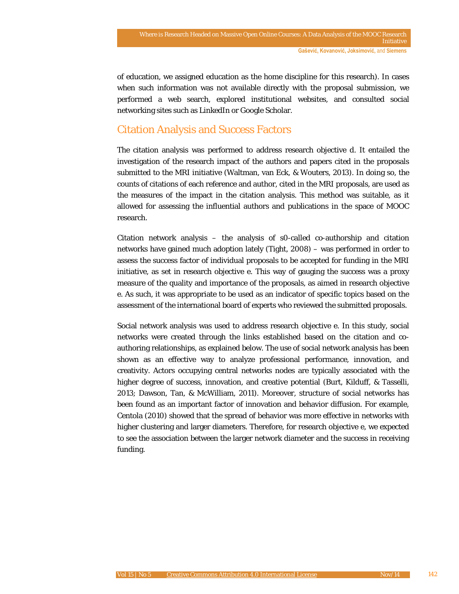of education, we assigned education as the home discipline for this research). In cases when such information was not available directly with the proposal submission, we performed a web search, explored institutional websites, and consulted social networking sites such as LinkedIn or Google Scholar.

### Citation Analysis and Success Factors

The citation analysis was performed to address research objective d. It entailed the investigation of the research impact of the authors and papers cited in the proposals submitted to the MRI initiative (Waltman, van Eck, & Wouters, 2013). In doing so, the counts of citations of each reference and author, cited in the MRI proposals, are used as the measures of the impact in the citation analysis. This method was suitable, as it allowed for assessing the influential authors and publications in the space of MOOC research.

Citation network analysis – the analysis of s0-called co-authorship and citation networks have gained much adoption lately (Tight, 2008) – was performed in order to assess the success factor of individual proposals to be accepted for funding in the MRI initiative, as set in research objective e. This way of gauging the success was a proxy measure of the quality and importance of the proposals, as aimed in research objective e. As such, it was appropriate to be used as an indicator of specific topics based on the assessment of the international board of experts who reviewed the submitted proposals.

Social network analysis was used to address research objective e. In this study, social networks were created through the links established based on the citation and coauthoring relationships, as explained below. The use of social network analysis has been shown as an effective way to analyze professional performance, innovation, and creativity. Actors occupying central networks nodes are typically associated with the higher degree of success, innovation, and creative potential (Burt, Kilduff, & Tasselli, 2013; Dawson, Tan, & McWilliam, 2011). Moreover, structure of social networks has been found as an important factor of innovation and behavior diffusion. For example, Centola (2010) showed that the spread of behavior was more effective in networks with higher clustering and larger diameters. Therefore, for research objective e, we expected to see the association between the larger network diameter and the success in receiving funding.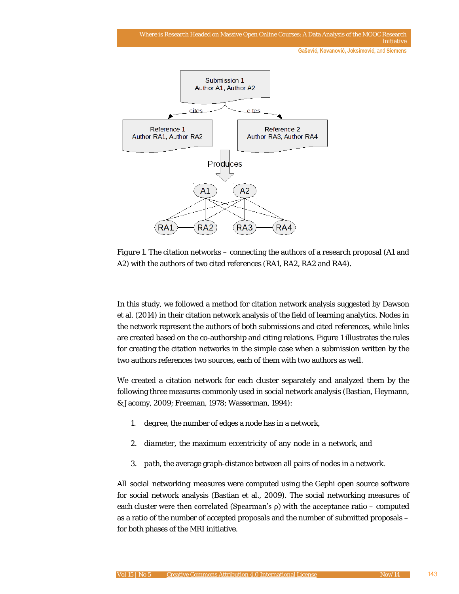

<span id="page-9-0"></span>*Figure 1*. The citation networks – connecting the authors of a research proposal (A1 and A2) with the authors of two cited references (RA1, RA2, RA2 and RA4).

In this study, we followed a method for citation network analysis suggested by Dawson et al. (2014) in their citation network analysis of the field of learning analytics. Nodes in the network represent the authors of both submissions and cited references, while links are created based on the co-authorship and citing relations. [Figure 1](#page-9-0) illustrates the rules for creating the citation networks in the simple case when a submission written by the two authors references two sources, each of them with two authors as well.

We created a citation network for each cluster separately and analyzed them by the following three measures commonly used in social network analysis (Bastian, Heymann, & Jacomy, 2009; Freeman, 1978; Wasserman, 1994):

- 1. *degree*, the number of edges a node has in a network,
- 2. *diameter*, the maximum eccentricity of any node in a network, and
- 3. *path*, the average graph-distance between all pairs of nodes in a network.

All social networking measures were computed using the Gephi open source software for social network analysis (Bastian et al., 2009). The social networking measures of each cluster were then correlated (Spearman's  $\rho$ ) with the acceptance ratio – computed as a ratio of the number of accepted proposals and the number of submitted proposals – for both phases of the MRI initiative.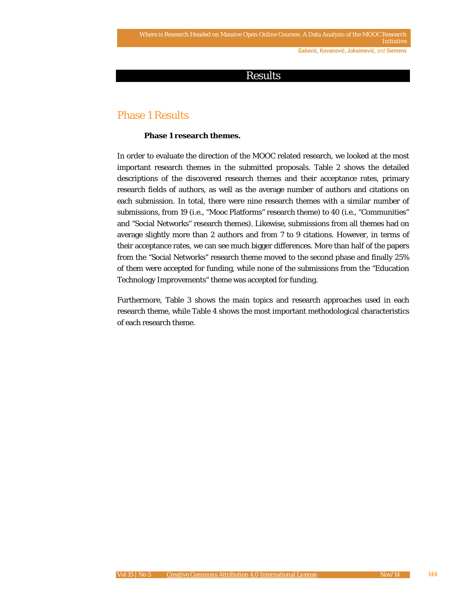### Results

### Phase 1 Results

### **Phase 1 research themes.**

In order to evaluate the direction of the MOOC related research, we looked at the most important research themes in the submitted proposals. [Table 2](#page-10-0) shows the detailed descriptions of the discovered research themes and their acceptance rates, primary research fields of authors, as well as the average number of authors and citations on each submission. In total, there were nine research themes with a similar number of submissions, from 19 (i.e., "Mooc Platforms" research theme) to 40 (i.e., "Communities" and "Social Networks" research themes). Likewise, submissions from all themes had on average slightly more than 2 authors and from 7 to 9 citations. However, in terms of their acceptance rates, we can see much bigger differences. More than half of the papers from the "Social Networks" research theme moved to the second phase and finally 25% of them were accepted for funding, while none of the submissions from the "Education Technology Improvements" theme was accepted for funding.

<span id="page-10-0"></span>Furthermore, [Table 3](#page-12-0) shows the main topics and research approaches used in each research theme, while [Table 4](#page-13-0) shows the most important methodological characteristics of each research theme.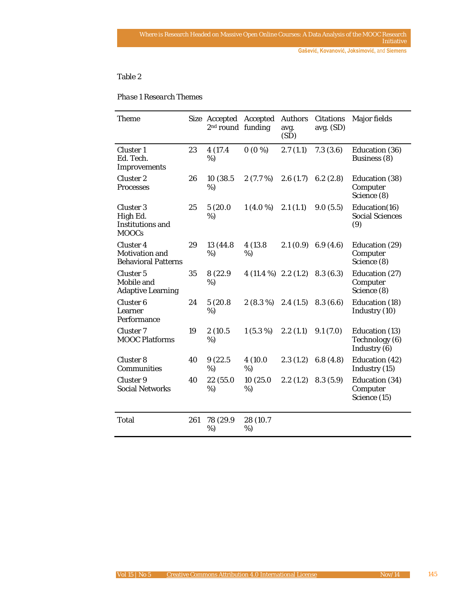### *Phase 1 Research Themes*

| <b>Theme</b>                                                            |     | Size Accepted Accepted<br>2 <sup>nd</sup> round funding |                                | <b>Authors</b><br>avg.<br>(SD) | <b>Citations</b><br>avg. (SD) | Major fields                                            |
|-------------------------------------------------------------------------|-----|---------------------------------------------------------|--------------------------------|--------------------------------|-------------------------------|---------------------------------------------------------|
| Cluster 1<br>Ed. Tech.<br>Improvements                                  | 23  | 4 (17.4)<br>$%$ )                                       | $0(0\%)$                       | 2.7(1.1)                       | 7.3(3.6)                      | <b>Education</b> (36)<br>Business (8)                   |
| <b>Cluster 2</b><br><b>Processes</b>                                    | 26  | 10 (38.5)<br>%                                          | 2(7.7%)                        | 2.6(1.7)                       | 6.2(2.8)                      | <b>Education (38)</b><br>Computer<br>Science (8)        |
| Cluster 3<br>High Ed.<br><b>Institutions and</b><br><b>MOOCs</b>        | 25  | 5(20.0)<br>$%$ )                                        | $1(4.0\%)$                     | 2.1(1.1)                       | 9.0(5.5)                      | Education(16)<br><b>Social Sciences</b><br>(9)          |
| <b>Cluster 4</b><br><b>Motivation and</b><br><b>Behavioral Patterns</b> | 29  | 13 (44.8)<br>%                                          | 4 (13.8)<br>%                  | 2.1(0.9)                       | 6.9(4.6)                      | <b>Education (29)</b><br>Computer<br>Science (8)        |
| Cluster 5<br>Mobile and<br><b>Adaptive Learning</b>                     | 35  | 8 (22.9)<br>%)                                          | 4 (11.4 %) 2.2 (1.2) 8.3 (6.3) |                                |                               | Education (27)<br>Computer<br>Science (8)               |
| Cluster <sub>6</sub><br>Learner<br>Performance                          | 24  | 5(20.8)<br>%                                            | $2(8.3\%)$                     | 2.4(1.5)                       | 8.3(6.6)                      | <b>Education (18)</b><br>Industry (10)                  |
| <b>Cluster 7</b><br><b>MOOC Platforms</b>                               | 19  | 2(10.5)<br>%                                            | $1(5.3\%)$                     | 2.2(1.1)                       | 9.1(7.0)                      | <b>Education (13)</b><br>Technology (6)<br>Industry (6) |
| <b>Cluster 8</b><br>Communities                                         | 40  | 9 (22.5)<br>$%$ )                                       | 4 (10.0)<br>%)                 | 2.3(1.2)                       | 6.8(4.8)                      | <b>Education (42)</b><br>Industry (15)                  |
| Cluster 9<br><b>Social Networks</b>                                     | 40  | 22 (55.0<br>%)                                          | 10 (25.0)<br>%)                | 2.2(1.2)                       | 8.3(5.9)                      | Education (34)<br>Computer<br>Science (15)              |
| Total                                                                   | 261 | 78 (29.9<br>%)                                          | 28 (10.7)<br>%)                |                                |                               |                                                         |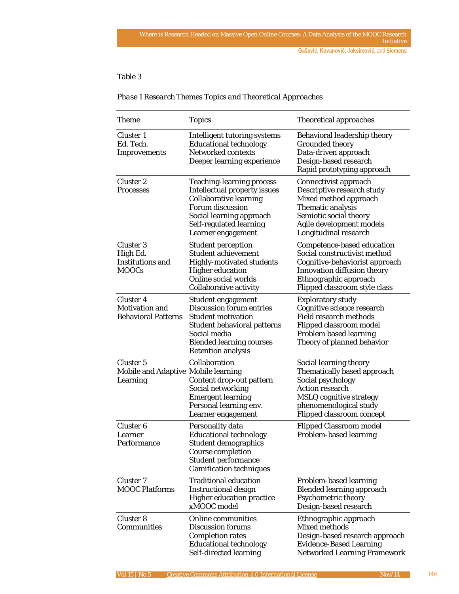| <b>Theme</b>                                                            | <b>Topics</b>                                                                                                                                                                                                   | <b>Theoretical approaches</b>                                                                                                                                                                 |
|-------------------------------------------------------------------------|-----------------------------------------------------------------------------------------------------------------------------------------------------------------------------------------------------------------|-----------------------------------------------------------------------------------------------------------------------------------------------------------------------------------------------|
| Cluster 1<br>Ed. Tech.<br>Improvements                                  | <b>Intelligent tutoring systems</b><br><b>Educational technology</b><br>Networked contexts<br>Deeper learning experience                                                                                        | Behavioral leadership theory<br><b>Grounded theory</b><br>Data-driven approach<br>Design-based research<br>Rapid prototyping approach                                                         |
| <b>Cluster 2</b><br><b>Processes</b>                                    | <b>Teaching-learning process</b><br><b>Intellectual property issues</b><br><b>Collaborative learning</b><br>Forum discussion<br>Social learning approach<br>Self-regulated learning<br>Learner engagement       | Connectivist approach<br>Descriptive research study<br>Mixed method approach<br>Thematic analysis<br>Semiotic social theory<br>Agile development models<br>Longitudinal research              |
| <b>Cluster 3</b><br>High Ed.<br>Institutions and<br><b>MOOCs</b>        | <b>Student perception</b><br><b>Student achievement</b><br><b>Highly-motivated students</b><br><b>Higher education</b><br>Online social worlds<br>Collaborative activity                                        | Competence-based education<br>Social constructivist method<br>Cognitive-behaviorist approach<br>Innovation diffusion theory<br>Ethnographic approach<br>Flipped classroom style class         |
| <b>Cluster 4</b><br><b>Motivation and</b><br><b>Behavioral Patterns</b> | <b>Student engagement</b><br><b>Discussion forum entries</b><br><b>Student motivation</b><br><b>Student behavioral patterns</b><br>Social media<br><b>Blended learning courses</b><br><b>Retention analysis</b> | <b>Exploratory study</b><br>Cognitive science research<br>Field research methods<br>Flipped classroom model<br>Problem based learning<br>Theory of planned behavior                           |
| Cluster 5<br>Mobile and Adaptive Mobile learning<br>Learning            | Collaboration<br>Content drop-out pattern<br>Social networking<br><b>Emergent learning</b><br>Personal learning env.<br>Learner engagement                                                                      | Social learning theory<br>Thematically based approach<br>Social psychology<br><b>Action research</b><br><b>MSLQ</b> cognitive strategy<br>phenomenological study<br>Flipped classroom concept |
| Cluster <sub>6</sub><br>Learner<br>Performance                          | Personality data<br><b>Educational technology</b><br><b>Student demographics</b><br>Course completion<br><b>Student performance</b><br><b>Gamification techniques</b>                                           | <b>Flipped Classroom model</b><br>Problem-based learning                                                                                                                                      |
| Cluster 7<br><b>MOOC Platforms</b>                                      | <b>Traditional education</b><br><b>Instructional design</b><br><b>Higher education practice</b><br>xMOOC model                                                                                                  | <b>Problem-based learning</b><br><b>Blended learning approach</b><br><b>Psychometric theory</b><br>Design-based research                                                                      |
| Cluster 8<br><b>Communities</b>                                         | <b>Online communities</b><br><b>Discussion forums</b><br><b>Completion rates</b><br><b>Educational technology</b><br>Self-directed learning                                                                     | Ethnographic approach<br><b>Mixed methods</b><br>Design-based research approach<br><b>Evidence-Based Learning</b><br><b>Networked Learning Framework</b>                                      |

### <span id="page-12-0"></span>*Phase 1 Research Themes Topics and Theoretical Approaches*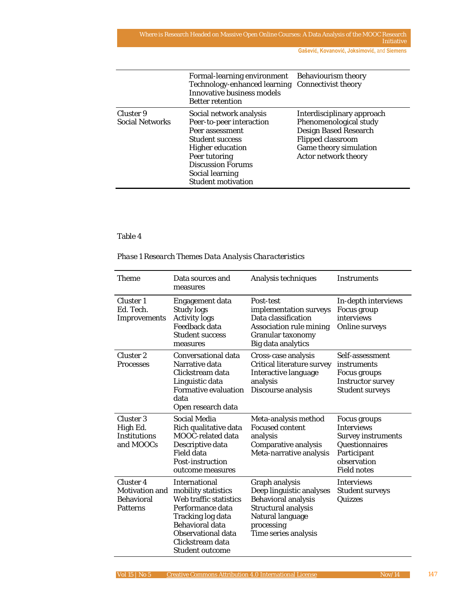|                                     | Formal-learning environment Behaviourism theory<br>Technology-enhanced learning Connectivist theory<br><b>Innovative business models</b><br><b>Better retention</b>                                                      |                                                                                                                                                             |
|-------------------------------------|--------------------------------------------------------------------------------------------------------------------------------------------------------------------------------------------------------------------------|-------------------------------------------------------------------------------------------------------------------------------------------------------------|
| Cluster 9<br><b>Social Networks</b> | Social network analysis<br>Peer-to-peer interaction<br>Peer assessment<br><b>Student success</b><br><b>Higher education</b><br>Peer tutoring<br><b>Discussion Forums</b><br>Social learning<br><b>Student motivation</b> | Interdisciplinary approach<br>Phenomenological study<br>Design Based Research<br><b>Flipped classroom</b><br>Game theory simulation<br>Actor network theory |

### <span id="page-13-0"></span>Table 4

### *Phase 1 Research Themes Data Analysis Characteristics*

| <b>Theme</b>                                                               | Data sources and<br>measures                                                                                                                                                                                 | Analysis techniques                                                                                                                                              | Instruments                                                                                                                                 |
|----------------------------------------------------------------------------|--------------------------------------------------------------------------------------------------------------------------------------------------------------------------------------------------------------|------------------------------------------------------------------------------------------------------------------------------------------------------------------|---------------------------------------------------------------------------------------------------------------------------------------------|
| <b>Cluster 1</b><br>Ed. Tech.<br>Improvements                              | Engagement data<br><b>Study logs</b><br><b>Activity logs</b><br>Feedback data<br><b>Student success</b><br>measures                                                                                          | Post-test<br>implementation surveys<br>Data classification<br><b>Association rule mining</b><br>Granular taxonomy<br>Big data analytics                          | In-depth interviews<br>Focus group<br>interviews<br>Online surveys                                                                          |
| Cluster 2<br><b>Processes</b>                                              | Conversational data<br>Narrative data<br>Clickstream data<br>Linguistic data<br><b>Formative evaluation</b><br>data<br>Open research data                                                                    | Cross-case analysis<br><b>Critical literature survey</b><br>Interactive language<br>analysis<br>Discourse analysis                                               | Self-assessment<br>instruments<br><b>Focus groups</b><br><b>Instructor survey</b><br><b>Student surveys</b>                                 |
| <b>Cluster 3</b><br>High Ed.<br><b>Institutions</b><br>and MOOCs           | Social Media<br>Rich qualitative data<br>MOOC-related data<br>Descriptive data<br>Field data<br>Post-instruction<br>outcome measures                                                                         | Meta-analysis method<br><b>Focused content</b><br>analysis<br>Comparative analysis<br>Meta-narrative analysis                                                    | <b>Focus groups</b><br><b>Interviews</b><br><b>Survey instruments</b><br>Questionnaires<br>Participant<br>observation<br><b>Field notes</b> |
| <b>Cluster 4</b><br>Motivation and<br><b>Behavioral</b><br><b>Patterns</b> | <b>International</b><br>mobility statistics<br>Web traffic statistics<br>Performance data<br>Tracking log data<br><b>Behavioral data</b><br>Observational data<br>Clickstream data<br><b>Student outcome</b> | <b>Graph analysis</b><br>Deep linguistic analyses<br><b>Behavioral analysis</b><br>Structural analysis<br>Natural language<br>processing<br>Time series analysis | <b>Interviews</b><br><b>Student surveys</b><br>Quizzes                                                                                      |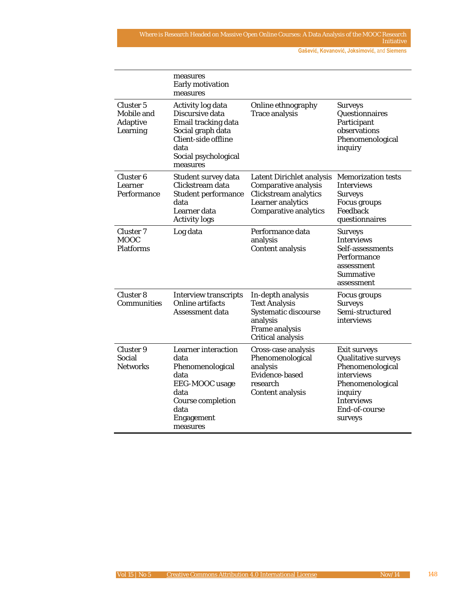|  |  |  | Gašević, Kovanović, Joksimović, and Siemens |
|--|--|--|---------------------------------------------|
|--|--|--|---------------------------------------------|

|                                                               | measures<br>Early motivation<br>measures                                                                                                               |                                                                                                                                               |                                                                                                                                                              |
|---------------------------------------------------------------|--------------------------------------------------------------------------------------------------------------------------------------------------------|-----------------------------------------------------------------------------------------------------------------------------------------------|--------------------------------------------------------------------------------------------------------------------------------------------------------------|
| <b>Cluster 5</b><br>Mobile and<br><b>Adaptive</b><br>Learning | Activity log data<br>Discursive data<br>Email tracking data<br>Social graph data<br>Client-side offline<br>data<br>Social psychological<br>measures    | Online ethnography<br><b>Trace analysis</b>                                                                                                   | <b>Surveys</b><br>Questionnaires<br>Participant<br>observations<br>Phenomenological<br>inquiry                                                               |
| Cluster <sub>6</sub><br>Learner<br>Performance                | Student survey data<br>Clickstream data<br><b>Student performance</b><br>data<br>Learner data<br><b>Activity logs</b>                                  | <b>Latent Dirichlet analysis</b><br>Comparative analysis<br><b>Clickstream analytics</b><br>Learner analytics<br><b>Comparative analytics</b> | <b>Memorization tests</b><br><b>Interviews</b><br><b>Surveys</b><br><b>Focus groups</b><br>Feedback<br>questionnaires                                        |
| <b>Cluster 7</b><br>MOOC<br><b>Platforms</b>                  | Log data                                                                                                                                               | Performance data<br>analysis<br><b>Content analysis</b>                                                                                       | <b>Surveys</b><br><b>Interviews</b><br>Self-assessments<br>Performance<br>assessment<br>Summative<br>assessment                                              |
| <b>Cluster 8</b><br>Communities                               | <b>Interview transcripts</b><br><b>Online artifacts</b><br>Assessment data                                                                             | In-depth analysis<br><b>Text Analysis</b><br>Systematic discourse<br>analysis<br>Frame analysis<br>Critical analysis                          | <b>Focus groups</b><br><b>Surveys</b><br>Semi-structured<br>interviews                                                                                       |
| Cluster 9<br>Social<br><b>Networks</b>                        | <b>Learner</b> interaction<br>data<br>Phenomenological<br>data<br>EEG-MOOC usage<br>data<br><b>Course completion</b><br>data<br>Engagement<br>measures | Cross-case analysis<br>Phenomenological<br>analysis<br>Evidence-based<br>research<br><b>Content analysis</b>                                  | <b>Exit surveys</b><br>Qualitative surveys<br>Phenomenological<br>interviews<br>Phenomenological<br>inquiry<br><b>Interviews</b><br>End-of-course<br>surveys |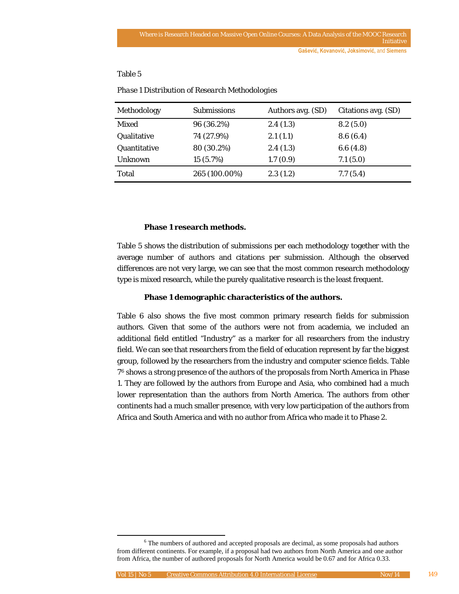| Methodology  | <b>Submissions</b> | Authors avg. (SD) | Citations avg. (SD) |
|--------------|--------------------|-------------------|---------------------|
| Mixed        | 96 (36.2%)         | 2.4(1.3)          | 8.2(5.0)            |
| Qualitative  | 74 (27.9%)         | 2.1(1.1)          | 8.6(6.4)            |
| Quantitative | 80 (30.2%)         | 2.4(1.3)          | 6.6(4.8)            |
| Unknown      | 15 (5.7%)          | 1.7(0.9)          | 7.1(5.0)            |
| <b>Total</b> | 265 (100.00%)      | 2.3(1.2)          | 7.7(5.4)            |

*Phase 1 Distribution of Research Methodologies*

#### **Phase 1 research methods.**

Table 5 shows the distribution of submissions per each methodology together with the average number of authors and citations per submission. Although the observed differences are not very large, we can see that the most common research methodology type is mixed research, while the purely qualitative research is the least frequent.

### **Phase 1 demographic characteristics of the authors.**

[Table 6](#page-16-0) also shows the five most common primary research fields for submission authors. Given that some of the authors were not from academia, we included an additional field entitled "Industry" as a marker for all researchers from the industry field. We can see that researchers from the field of education represent by far the biggest group, followed by the researchers from the industry and computer science fields. [Table](#page-16-1)  [7](#page-16-1)[6](#page-15-0) shows a strong presence of the authors of the proposals from North America in Phase 1. They are followed by the authors from Europe and Asia, who combined had a much lower representation than the authors from North America. The authors from other continents had a much smaller presence, with very low participation of the authors from Africa and South America and with no author from Africa who made it to Phase 2.

<span id="page-15-0"></span> $6$  The numbers of authored and accepted proposals are decimal, as some proposals had authors from different continents. For example, if a proposal had two authors from North America and one author from Africa, the number of authored proposals for North America would be 0.67 and for Africa 0.33.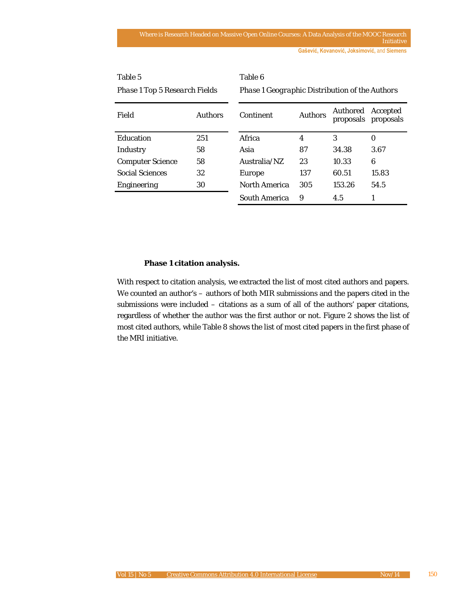<span id="page-16-1"></span><span id="page-16-0"></span>

| Table 5                              |                | Table 6                                        |                |                   |                     |
|--------------------------------------|----------------|------------------------------------------------|----------------|-------------------|---------------------|
| <b>Phase 1 Top 5 Research Fields</b> |                | Phase 1 Geographic Distribution of the Authors |                |                   |                     |
| Field                                | <b>Authors</b> | Continent                                      | <b>Authors</b> | Authored Accepted | proposals proposals |
| <b>Education</b>                     | 251            | Africa                                         | 4              | 3                 | $\Omega$            |
| <b>Industry</b>                      | 58             | Asia                                           | 87             | 34.38             | 3.67                |
| <b>Computer Science</b>              | 58             | Australia/NZ                                   | 23             | 10.33             | 6                   |
| <b>Social Sciences</b>               | 32             | <b>Europe</b>                                  | 137            | 60.51             | 15.83               |
| <b>Engineering</b>                   | 30             | North America                                  | 305            | 153.26            | 54.5                |
|                                      |                | <b>South America</b>                           | 9              | 4.5               | 1                   |

#### **Phase 1 citation analysis.**

With respect to citation analysis, we extracted the list of most cited authors and papers. We counted an author's – authors of both MIR submissions and the papers cited in the submissions were included – citations as a sum of all of the authors' paper citations, regardless of whether the author was the first author or not. [Figure 2](#page-17-0) shows the list of most cited authors, while [Table 8](#page-17-1) shows the list of most cited papers in the first phase of the MRI initiative.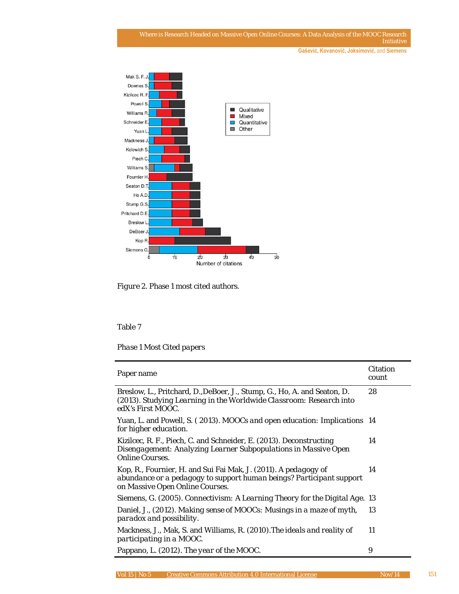

<span id="page-17-1"></span><span id="page-17-0"></span>*Figure 2*. Phase 1 most cited authors.

### Table 7

*Phase 1 Most Cited papers*

| Paper name                                                                                                                                                                 | <b>Citation</b><br>count |
|----------------------------------------------------------------------------------------------------------------------------------------------------------------------------|--------------------------|
| Breslow, L., Pritchard, D., DeBoer, J., Stump, G., Ho, A. and Seaton, D.<br>(2013). Studying Learning in the Worldwide Classroom: Research into<br>edX's First MOOC.       | 28                       |
| Yuan, L. and Powell, S. (2013). MOOCs and open education: Implications 14<br>for higher education.                                                                         |                          |
| Kizilcec, R. F., Piech, C. and Schneider, E. (2013). Deconstructing<br>Disengagement: Analyzing Learner Subpopulations in Massive Open<br><b>Online Courses.</b>           | 14                       |
| Kop, R., Fournier, H. and Sui Fai Mak, J. (2011). A pedagogy of<br>abundance or a pedagogy to support human beings? Participant support<br>on Massive Open Online Courses. | 14                       |
| Siemens, G. (2005). Connectivism: A Learning Theory for the Digital Age. 13                                                                                                |                          |
| Daniel, J., (2012). Making sense of MOOCs: Musings in a maze of myth,<br>paradox and possibility.                                                                          | 13                       |
| Mackness, J., Mak, S. and Williams, R. (2010). The ideals and reality of<br>participating in a MOOC.                                                                       | 11                       |
| Pappano, L. (2012). The year of the MOOC.                                                                                                                                  | 9                        |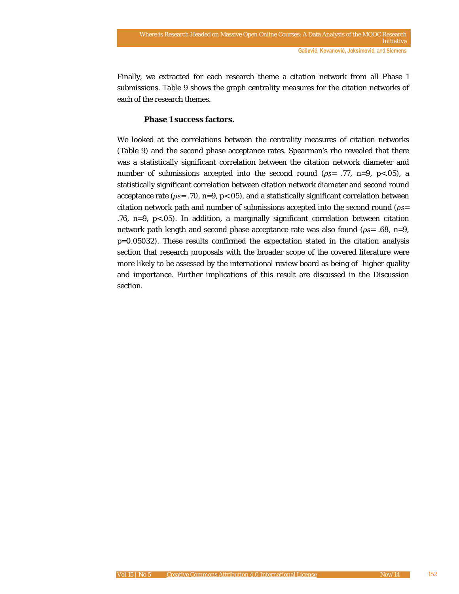Finally, we extracted for each research theme a citation network from all Phase 1 submissions. [Table 9](#page-18-0) shows the graph centrality measures for the citation networks of each of the research themes.

### **Phase 1 success factors.**

<span id="page-18-0"></span>We looked at the correlations between the centrality measures of citation networks [\(Table 9\)](#page-18-0) and the second phase acceptance rates. Spearman's rho revealed that there was a statistically significant correlation between the citation network diameter and number of submissions accepted into the second round (*ρs*= .77, *n*=9, *p*<.05), a statistically significant correlation between citation network diameter and second round acceptance rate (*ρs*= .70, *n*=9, *p*<.05), and a statistically significant correlation between citation network path and number of submissions accepted into the second round (*ρs*= .76,  $n=9$ ,  $p<.05$ ). In addition, a marginally significant correlation between citation network path length and second phase acceptance rate was also found (*ρs*= .68, *n*=9, *p*=0.05032). These results confirmed the expectation stated in the citation analysis section that research proposals with the broader scope of the covered literature were more likely to be assessed by the international review board as being of higher quality and importance. Further implications of this result are discussed in the Discussion section.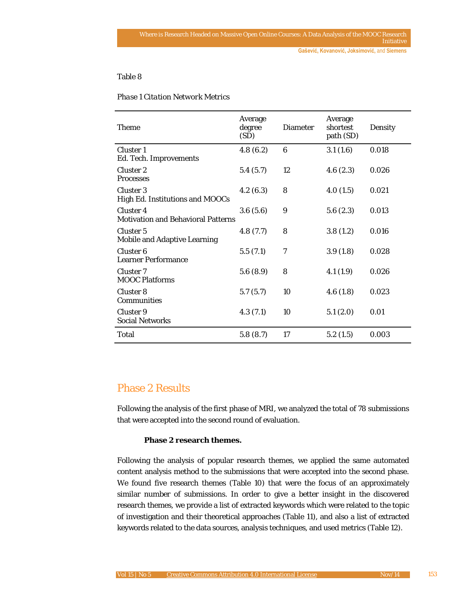| <b>Theme</b>                                           | Average<br>degree<br>(SD) | <b>Diameter</b>  | Average<br>shortest<br>path (SD) | <b>Density</b> |
|--------------------------------------------------------|---------------------------|------------------|----------------------------------|----------------|
| Cluster 1<br>Ed. Tech. Improvements                    | 4.8(6.2)                  | $\boldsymbol{6}$ | 3.1(1.6)                         | 0.018          |
| Cluster 2<br><b>Processes</b>                          | 5.4(5.7)                  | 12               | 4.6(2.3)                         | 0.026          |
| <b>Cluster 3</b><br>High Ed. Institutions and MOOCs    | 4.2(6.3)                  | 8                | 4.0(1.5)                         | 0.021          |
| Cluster 4<br><b>Motivation and Behavioral Patterns</b> | 3.6(5.6)                  | 9                | 5.6(2.3)                         | 0.013          |
| Cluster 5<br><b>Mobile and Adaptive Learning</b>       | 4.8(7.7)                  | 8                | 3.8(1.2)                         | 0.016          |
| Cluster <sub>6</sub><br><b>Learner Performance</b>     | 5.5(7.1)                  | 7                | 3.9(1.8)                         | 0.028          |
| Cluster 7<br><b>MOOC Platforms</b>                     | 5.6(8.9)                  | 8                | 4.1(1.9)                         | 0.026          |
| Cluster 8<br><b>Communities</b>                        | 5.7(5.7)                  | 10               | 4.6(1.8)                         | 0.023          |
| Cluster 9<br><b>Social Networks</b>                    | 4.3(7.1)                  | 10               | 5.1(2.0)                         | 0.01           |
| Total                                                  | 5.8(8.7)                  | 17               | 5.2(1.5)                         | 0.003          |

### Phase 2 Results

Following the analysis of the first phase of MRI, we analyzed the total of 78 submissions that were accepted into the second round of evaluation.

### **Phase 2 research themes.**

Following the analysis of popular research themes, we applied the same automated content analysis method to the submissions that were accepted into the second phase. We found five research themes [\(Table 10\)](#page-20-0) that were the focus of an approximately similar number of submissions. In order to give a better insight in the discovered research themes, we provide a list of extracted keywords which were related to the topic of investigation and their theoretical approaches [\(Table 11\)](#page-21-0), and also a list of extracted keywords related to the data sources, analysis techniques, and used metrics [\(Table 12\)](#page-22-0).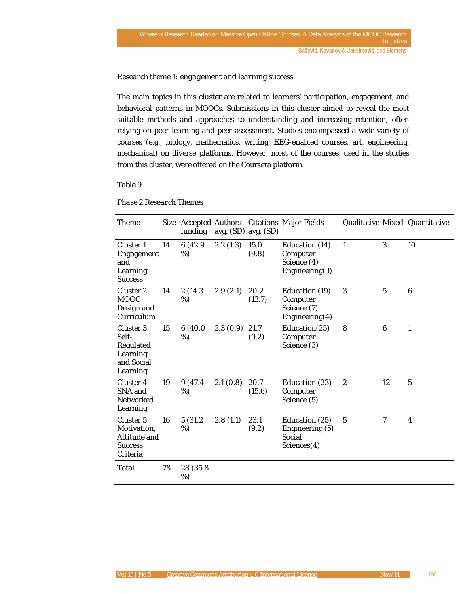### *Research theme 1: engagement and learning success*

The main topics in this cluster are related to learners' participation, engagement, and behavioral patterns in MOOCs. Submissions in this cluster aimed to reveal the most suitable methods and approaches to understanding and increasing retention, often relying on peer learning and peer assessment. Studies encompassed a wide variety of courses (e.g., biology, mathematics, writing, EEG-enabled courses, art, engineering, mechanical) on diverse platforms. However, most of the courses, used in the studies from this cluster, were offered on the Coursera platform.

#### <span id="page-20-0"></span>Table 9

| <b>Theme</b>                                                                  |    | funding          | avg. $(SD)$ avg. $(SD)$ |                | Size Accepted Authors Citations Major Fields                          |                  |    | Qualitative Mixed Quantitative |
|-------------------------------------------------------------------------------|----|------------------|-------------------------|----------------|-----------------------------------------------------------------------|------------------|----|--------------------------------|
| <b>Cluster 1</b><br><b>Engagement</b><br>and<br>Learning<br><b>Success</b>    | 14 | 6 (42.9)<br>%)   | 2.2(1.3)                | 15.0<br>(9.8)  | <b>Education</b> (14)<br>Computer<br>Science (4)<br>Engineering(3)    | $\mathbf{1}$     | 3  | 10                             |
| <b>Cluster 2</b><br><b>MOOC</b><br>Design and<br>Curriculum                   | 14 | 2(14.3)<br>%)    | 2.9(2.1)                | 20.2<br>(13.7) | <b>Education</b> (19)<br>Computer<br>Science (7)<br>Engineering $(4)$ | 3                | 5  | 6                              |
| Cluster 3<br>Self-<br>Regulated<br>Learning<br>and Social<br>Learning         | 15 | 6(40.0)<br>$%$ ) | 2.3(0.9)                | 21.7<br>(9.2)  | Education(25)<br>Computer<br>Science (3)                              | 8                | 6  | 1                              |
| Cluster 4<br>SNA and<br><b>Networked</b><br>Learning                          | 19 | 9 (47.4)<br>%)   | 2.1(0.8)                | 20.7<br>(15.6) | Education (23)<br>Computer<br>Science (5)                             | $\boldsymbol{2}$ | 12 | $\overline{5}$                 |
| <b>Cluster 5</b><br>Motivation,<br>Attitude and<br><b>Success</b><br>Criteria | 16 | 5 (31.2)<br>%)   | 2.8(1.1)                | 23.1<br>(9.2)  | Education (25)<br><b>Engineering (5)</b><br>Social<br>Science(4)      | $\mathbf 5$      | 7  | 4                              |
| Total                                                                         | 78 | 28 (35.8)<br>%)  |                         |                |                                                                       |                  |    |                                |

### *Phase 2 Research Themes*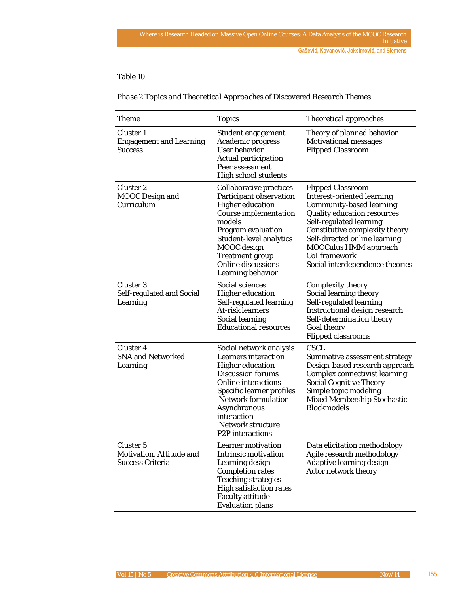| <b>Theme</b>                                                         | <b>Topics</b>                                                                                                                                                                                                                                                                         | <b>Theoretical approaches</b>                                                                                                                                                                                                                                                                                                   |
|----------------------------------------------------------------------|---------------------------------------------------------------------------------------------------------------------------------------------------------------------------------------------------------------------------------------------------------------------------------------|---------------------------------------------------------------------------------------------------------------------------------------------------------------------------------------------------------------------------------------------------------------------------------------------------------------------------------|
| <b>Cluster 1</b><br><b>Engagement and Learning</b><br><b>Success</b> | Student engagement<br><b>Academic progress</b><br>User behavior<br><b>Actual participation</b><br>Peer assessment<br><b>High school students</b>                                                                                                                                      | Theory of planned behavior<br><b>Motivational messages</b><br><b>Flipped Classroom</b>                                                                                                                                                                                                                                          |
| Cluster 2<br><b>MOOC</b> Design and<br>Curriculum                    | Collaborative practices<br>Participant observation<br><b>Higher education</b><br><b>Course implementation</b><br>models<br>Program evaluation<br><b>Student-level analytics</b><br>MOOC design<br><b>Treatment</b> group<br><b>Online discussions</b><br>Learning behavior            | <b>Flipped Classroom</b><br><b>Interest-oriented learning</b><br><b>Community-based learning</b><br><b>Quality education resources</b><br>Self-regulated learning<br>Constitutive complexity theory<br>Self-directed online learning<br><b>MOOCulus HMM approach</b><br><b>CoI</b> framework<br>Social interdependence theories |
| <b>Cluster 3</b><br>Self-regulated and Social<br>Learning            | Social sciences<br><b>Higher education</b><br>Self-regulated learning<br>At-risk learners<br><b>Social learning</b><br><b>Educational resources</b>                                                                                                                                   | <b>Complexity theory</b><br>Social learning theory<br>Self-regulated learning<br><b>Instructional design research</b><br>Self-determination theory<br><b>Goal theory</b><br><b>Flipped classrooms</b>                                                                                                                           |
| <b>Cluster 4</b><br><b>SNA and Networked</b><br>Learning             | Social network analysis<br><b>Learners interaction</b><br><b>Higher education</b><br><b>Discussion forums</b><br><b>Online interactions</b><br>Specific learner profiles<br><b>Network formulation</b><br>Asynchronous<br>interaction<br>Network structure<br><b>P2P</b> interactions | <b>CSCL</b><br><b>Summative assessment strategy</b><br>Design-based research approach<br><b>Complex connectivist learning</b><br><b>Social Cognitive Theory</b><br>Simple topic modeling<br><b>Mixed Membership Stochastic</b><br><b>Blockmodels</b>                                                                            |
| Cluster 5<br>Motivation, Attitude and<br><b>Success Criteria</b>     | Learner motivation<br><b>Intrinsic motivation</b><br>Learning design<br><b>Completion rates</b><br><b>Teaching strategies</b><br><b>High satisfaction rates</b><br><b>Faculty attitude</b><br><b>Evaluation plans</b>                                                                 | Data elicitation methodology<br>Agile research methodology<br>Adaptive learning design<br>Actor network theory                                                                                                                                                                                                                  |

### <span id="page-21-0"></span>*Phase 2 Topics and Theoretical Approaches of Discovered Research Themes*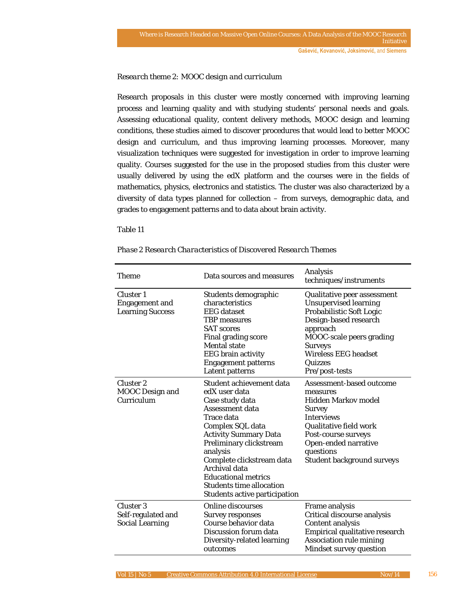### *Research theme 2: MOOC design and curriculum*

Research proposals in this cluster were mostly concerned with improving learning process and learning quality and with studying students' personal needs and goals. Assessing educational quality, content delivery methods, MOOC design and learning conditions, these studies aimed to discover procedures that would lead to better MOOC design and curriculum, and thus improving learning processes. Moreover, many visualization techniques were suggested for investigation in order to improve learning quality. Courses suggested for the use in the proposed studies from this cluster were usually delivered by using the edX platform and the courses were in the fields of mathematics, physics, electronics and statistics. The cluster was also characterized by a diversity of data types planned for collection – from surveys, demographic data, and grades to engagement patterns and to data about brain activity.

#### <span id="page-22-0"></span>Table 11

| <b>Theme</b>                                                         | Data sources and measures                                                                                                                                                                                                                                                                                                                              | <b>Analysis</b><br>techniques/instruments                                                                                                                                                                                              |
|----------------------------------------------------------------------|--------------------------------------------------------------------------------------------------------------------------------------------------------------------------------------------------------------------------------------------------------------------------------------------------------------------------------------------------------|----------------------------------------------------------------------------------------------------------------------------------------------------------------------------------------------------------------------------------------|
| <b>Cluster 1</b><br><b>Engagement</b> and<br><b>Learning Success</b> | Students demographic<br>characteristics<br><b>EEG</b> dataset<br><b>TBP</b> measures<br><b>SAT</b> scores<br><b>Final grading score</b><br><b>Mental state</b><br><b>EEG</b> brain activity<br><b>Engagement patterns</b><br><b>Latent patterns</b>                                                                                                    | Qualitative peer assessment<br><b>Unsupervised learning</b><br>Probabilistic Soft Logic<br>Design-based research<br>approach<br>MOOC-scale peers grading<br><b>Surveys</b><br><b>Wireless EEG headset</b><br>Quizzes<br>Pre/post-tests |
| <b>Cluster 2</b><br>MOOC Design and<br>Curriculum                    | Student achievement data<br>edX user data<br>Case study data<br>Assessment data<br><b>Trace data</b><br>Complex SQL data<br><b>Activity Summary Data</b><br>Preliminary clickstream<br>analysis<br>Complete clickstream data<br>Archival data<br><b>Educational metrics</b><br><b>Students time allocation</b><br><b>Students active participation</b> | Assessment-based outcome<br>measures<br><b>Hidden Markov model</b><br><b>Survey</b><br><b>Interviews</b><br>Qualitative field work<br>Post-course surveys<br>Open-ended narrative<br>questions<br><b>Student background surveys</b>    |
| <b>Cluster 3</b><br>Self-regulated and<br><b>Social Learning</b>     | Online discourses<br><b>Survey responses</b><br>Course behavior data<br>Discussion forum data<br>Diversity-related learning<br>outcomes                                                                                                                                                                                                                | <b>Frame analysis</b><br>Critical discourse analysis<br>Content analysis<br>Empirical qualitative research<br><b>Association rule mining</b><br><b>Mindset survey question</b>                                                         |

*Phase 2 Research Characteristics of Discovered Research Themes*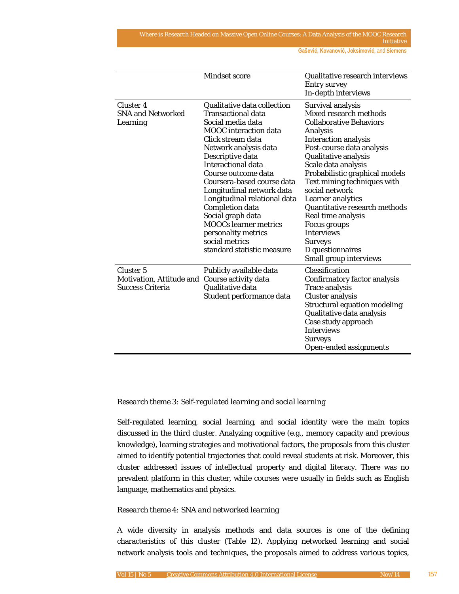|                                                                                              | <b>Mindset score</b>                                                                                                                                                                                                                                                                                                                                                                                                                                                                 | Qualitative research interviews<br><b>Entry survey</b><br>In-depth interviews                                                                                                                                                                                                                                                                                                                                                                                                          |
|----------------------------------------------------------------------------------------------|--------------------------------------------------------------------------------------------------------------------------------------------------------------------------------------------------------------------------------------------------------------------------------------------------------------------------------------------------------------------------------------------------------------------------------------------------------------------------------------|----------------------------------------------------------------------------------------------------------------------------------------------------------------------------------------------------------------------------------------------------------------------------------------------------------------------------------------------------------------------------------------------------------------------------------------------------------------------------------------|
| <b>Cluster 4</b><br><b>SNA and Networked</b><br>Learning                                     | Qualitative data collection<br><b>Transactional data</b><br>Social media data<br><b>MOOC</b> interaction data<br>Click stream data<br>Network analysis data<br>Descriptive data<br><b>Interactional data</b><br>Course outcome data<br>Coursera-based course data<br>Longitudinal network data<br>Longitudinal relational data<br><b>Completion data</b><br>Social graph data<br><b>MOOCs learner metrics</b><br>personality metrics<br>social metrics<br>standard statistic measure | Survival analysis<br>Mixed research methods<br><b>Collaborative Behaviors</b><br>Analysis<br><b>Interaction analysis</b><br>Post-course data analysis<br>Qualitative analysis<br>Scale data analysis<br>Probabilistic graphical models<br>Text mining techniques with<br>social network<br>Learner analytics<br>Quantitative research methods<br>Real time analysis<br><b>Focus</b> groups<br><b>Interviews</b><br><b>Surveys</b><br>D questionnaires<br><b>Small group interviews</b> |
| <b>Cluster 5</b><br>Motivation, Attitude and Course activity data<br><b>Success Criteria</b> | Publicly available data<br>Qualitative data<br>Student performance data                                                                                                                                                                                                                                                                                                                                                                                                              | Classification<br>Confirmatory factor analysis<br><b>Trace analysis</b><br><b>Cluster analysis</b><br><b>Structural equation modeling</b><br>Qualitative data analysis<br>Case study approach<br><b>Interviews</b><br><b>Surveys</b><br><b>Open-ended assignments</b>                                                                                                                                                                                                                  |

#### *Research theme 3: Self-regulated learning and social learning*

Self-regulated learning, social learning, and social identity were the main topics discussed in the third cluster. Analyzing cognitive (e.g., memory capacity and previous knowledge), learning strategies and motivational factors, the proposals from this cluster aimed to identify potential trajectories that could reveal students at risk. Moreover, this cluster addressed issues of intellectual property and digital literacy. There was no prevalent platform in this cluster, while courses were usually in fields such as English language, mathematics and physics.

#### *Research theme 4: SNA and networked learning*

A wide diversity in analysis methods and data sources is one of the defining characteristics of this cluster [\(Table 12\)](#page-22-0). Applying networked learning and social network analysis tools and techniques, the proposals aimed to address various topics,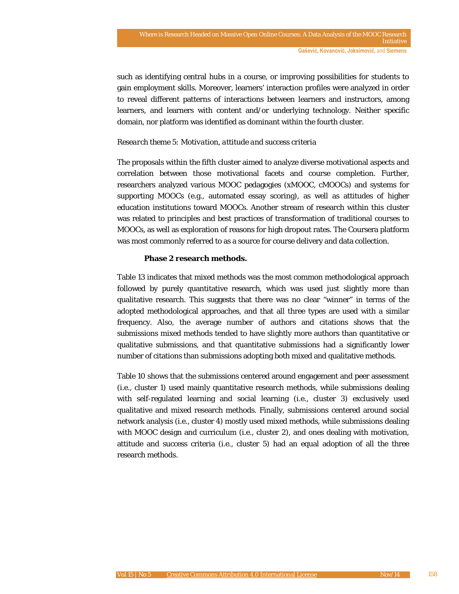such as identifying central hubs in a course, or improving possibilities for students to gain employment skills. Moreover, learners' interaction profiles were analyzed in order to reveal different patterns of interactions between learners and instructors, among learners, and learners with content and/or underlying technology. Neither specific domain, nor platform was identified as dominant within the fourth cluster.

#### *Research theme 5: Motivation, attitude and success criteria*

The proposals within the fifth cluster aimed to analyze diverse motivational aspects and correlation between those motivational facets and course completion. Further, researchers analyzed various MOOC pedagogies (xMOOC, cMOOCs) and systems for supporting MOOCs (e.g., automated essay scoring), as well as attitudes of higher education institutions toward MOOCs. Another stream of research within this cluster was related to principles and best practices of transformation of traditional courses to MOOCs, as well as exploration of reasons for high dropout rates. The Coursera platform was most commonly referred to as a source for course delivery and data collection.

### **Phase 2 research methods.**

[Table 13](#page-24-0) indicates that mixed methods was the most common methodological approach followed by purely quantitative research, which was used just slightly more than qualitative research. This suggests that there was no clear "winner" in terms of the adopted methodological approaches, and that all three types are used with a similar frequency. Also, the average number of authors and citations shows that the submissions mixed methods tended to have slightly more authors than quantitative or qualitative submissions, and that quantitative submissions had a significantly lower number of citations than submissions adopting both mixed and qualitative methods.

<span id="page-24-0"></span>[Table 10](#page-20-0) shows that the submissions centered around engagement and peer assessment (i.e., cluster 1) used mainly quantitative research methods, while submissions dealing with self-regulated learning and social learning (i.e., cluster 3) exclusively used qualitative and mixed research methods. Finally, submissions centered around social network analysis (i.e., cluster 4) mostly used mixed methods, while submissions dealing with MOOC design and curriculum (i.e., cluster 2), and ones dealing with motivation, attitude and success criteria (i.e., cluster 5) had an equal adoption of all the three research methods.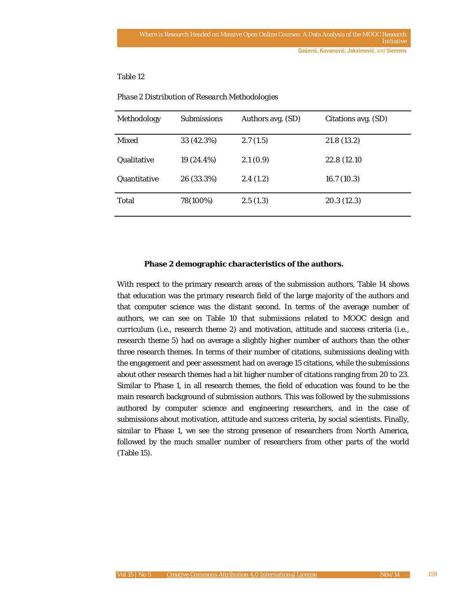| Methodology  | <b>Submissions</b> | Authors avg. (SD) | Citations avg. (SD) |
|--------------|--------------------|-------------------|---------------------|
| Mixed        | 33 (42.3%)         | 2.7(1.5)          | 21.8(13.2)          |
| Qualitative  | 19 (24.4%)         | 2.1(0.9)          | 22.8 (12.10)        |
| Quantitative | 26 (33.3%)         | 2.4(1.2)          | 16.7(10.3)          |
| Total        | 78(100%)           | 2.5(1.3)          | 20.3 (12.3)         |

*Phase 2 Distribution of Research Methodologies*

#### **Phase 2 demographic characteristics of the authors.**

With respect to the primary research areas of the submission authors, [Table 14](#page-26-0) shows that education was the primary research field of the large majority of the authors and that computer science was the distant second. In terms of the average number of authors, we can see on [Table 10](#page-20-0) that submissions related to MOOC design and curriculum (i.e., research theme 2) and motivation, attitude and success criteria (i.e., research theme 5) had on average a slightly higher number of authors than the other three research themes. In terms of their number of citations, submissions dealing with the engagement and peer assessment had on average 15 citations, while the submissions about other research themes had a bit higher number of citations ranging from 20 to 23. Similar to Phase 1, in all research themes, the field of education was found to be the main research background of submission authors. This was followed by the submissions authored by computer science and engineering researchers, and in the case of submissions about motivation, attitude and success criteria, by social scientists. Finally, similar to Phase 1, we see the strong presence of researchers from North America, followed by the much smaller number of researchers from other parts of the world [\(Table 15\)](#page-26-1).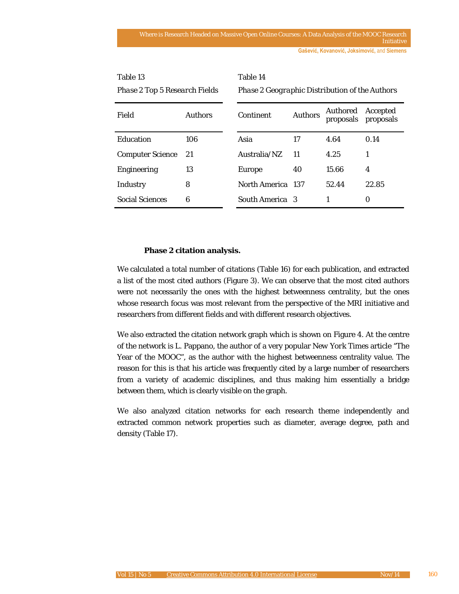<span id="page-26-1"></span><span id="page-26-0"></span>

| Table 13                             |                | Table 14                                       |                |                       |                       |  |
|--------------------------------------|----------------|------------------------------------------------|----------------|-----------------------|-----------------------|--|
| <b>Phase 2 Top 5 Research Fields</b> |                | Phase 2 Geographic Distribution of the Authors |                |                       |                       |  |
| Field                                | <b>Authors</b> | Continent                                      | <b>Authors</b> | Authored<br>proposals | Accepted<br>proposals |  |
| Education                            | 106            | Asia                                           | 17             | 4.64                  | 0.14                  |  |
| <b>Computer Science</b>              | 21             | Australia/NZ                                   | 11             | 4.25                  | 1                     |  |
| <b>Engineering</b>                   | 13             | <b>Europe</b>                                  | 40             | 15.66                 | 4                     |  |
| Industry                             | 8              | North America 137                              |                | 52.44                 | 22.85                 |  |
| <b>Social Sciences</b>               | 6              | South America 3                                |                | 1                     | 0                     |  |

<span id="page-26-2"></span>**Phase 2 citation analysis.**

We calculated a total number of citations [\(Table 16\)](#page-26-2) for each publication, and extracted a list of the most cited authors [\(Figure 3\)](#page-28-0). We can observe that the most cited authors were not necessarily the ones with the highest betweenness centrality, but the ones whose research focus was most relevant from the perspective of the MRI initiative and researchers from different fields and with different research objectives.

We also extracted the citation network graph which is shown on [Figure 4.](#page-28-1) At the centre of the network is L. Pappano, the author of a very popular *New York Times* article "The Year of the MOOC", as the author with the highest betweenness centrality value. The reason for this is that his article was frequently cited by a large number of researchers from a variety of academic disciplines, and thus making him essentially a bridge between them, which is clearly visible on the graph.

We also analyzed citation networks for each research theme independently and extracted common network properties such as diameter, average degree, path and density [\(Table 17\)](#page-29-0).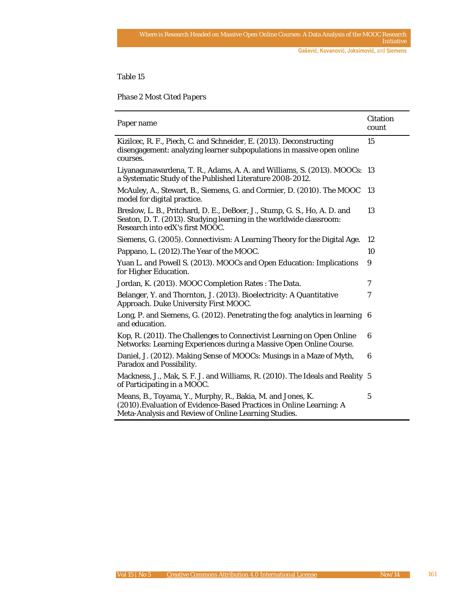Table 15

*Phase 2 Most Cited Papers*

| Paper name                                                                                                                                                                                 | <b>Citation</b><br>count |
|--------------------------------------------------------------------------------------------------------------------------------------------------------------------------------------------|--------------------------|
| Kizilcec, R. F., Piech, C. and Schneider, E. (2013). Deconstructing<br>disengagement: analyzing learner subpopulations in massive open online<br>courses.                                  | 15                       |
| Liyanagunawardena, T. R., Adams, A. A. and Williams, S. (2013). MOOCs: 13<br>a Systematic Study of the Published Literature 2008-2012.                                                     |                          |
| McAuley, A., Stewart, B., Siemens, G. and Cormier, D. (2010). The MOOC<br>model for digital practice.                                                                                      | 13                       |
| Breslow, L. B., Pritchard, D. E., DeBoer, J., Stump, G. S., Ho, A. D. and<br>Seaton, D. T. (2013). Studying learning in the worldwide classroom:<br>Research into edX's first MOOC.        | 13                       |
| Siemens, G. (2005). Connectivism: A Learning Theory for the Digital Age.                                                                                                                   | 12                       |
| Pappano, L. (2012). The Year of the MOOC.                                                                                                                                                  | 10                       |
| Yuan L. and Powell S. (2013). MOOCs and Open Education: Implications<br>for Higher Education.                                                                                              | 9                        |
| Jordan, K. (2013). MOOC Completion Rates: The Data.                                                                                                                                        | 7                        |
| Belanger, Y. and Thornton, J. (2013). Bioelectricity: A Quantitative<br>Approach. Duke University First MOOC.                                                                              | 7                        |
| Long, P. and Siemens, G. (2012). Penetrating the fog: analytics in learning 6<br>and education.                                                                                            |                          |
| Kop, R. (2011). The Challenges to Connectivist Learning on Open Online<br>Networks: Learning Experiences during a Massive Open Online Course.                                              | 6                        |
| Daniel, J. (2012). Making Sense of MOOCs: Musings in a Maze of Myth,<br>Paradox and Possibility.                                                                                           | 6                        |
| Mackness, J., Mak, S. F. J. and Williams, R. (2010). The Ideals and Reality 5<br>of Participating in a MOOC.                                                                               |                          |
| Means, B., Toyama, Y., Murphy, R., Bakia, M. and Jones, K.<br>(2010). Evaluation of Evidence-Based Practices in Online Learning: A<br>Meta-Analysis and Review of Online Learning Studies. | $\overline{5}$           |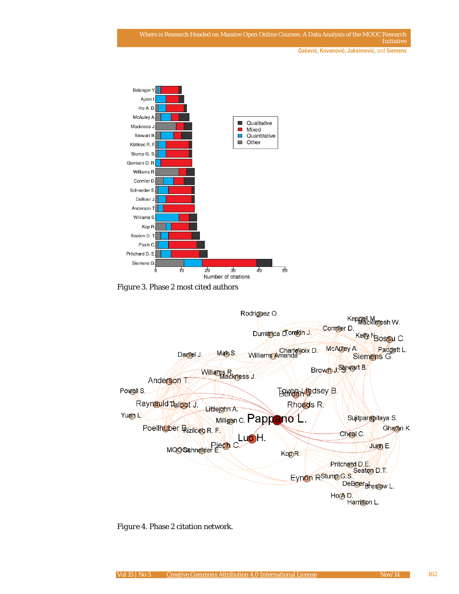

<span id="page-28-0"></span>*Figure 3*. Phase 2 most cited authors



<span id="page-28-1"></span>*Figure 4*. Phase 2 citation network.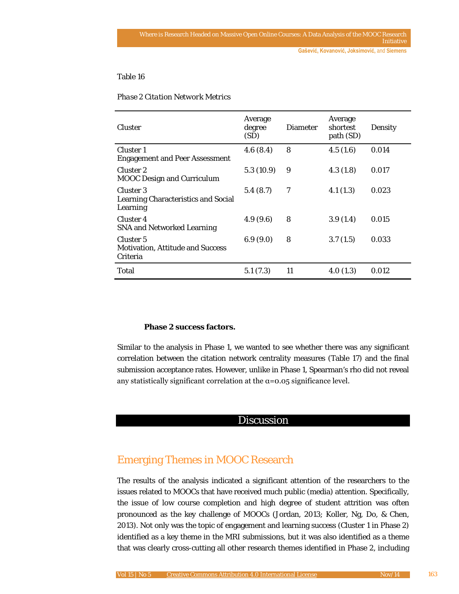#### <span id="page-29-0"></span>*Phase 2 Citation Network Metrics*

| Cluster                                                             | Average<br>degree<br>(SD) | <b>Diameter</b> | Average<br>shortest<br>path (SD) | <b>Density</b> |
|---------------------------------------------------------------------|---------------------------|-----------------|----------------------------------|----------------|
| Cluster 1<br><b>Engagement and Peer Assessment</b>                  | 4.6(8.4)                  | 8               | 4.5(1.6)                         | 0.014          |
| Cluster 2<br><b>MOOC</b> Design and Curriculum                      | 5.3(10.9)                 | 9               | 4.3(1.8)                         | 0.017          |
| Cluster 3<br><b>Learning Characteristics and Social</b><br>Learning | 5.4(8.7)                  | 7               | 4.1(1.3)                         | 0.023          |
| Cluster 4<br><b>SNA and Networked Learning</b>                      | 4.9(9.6)                  | 8               | 3.9(1.4)                         | 0.015          |
| Cluster 5<br><b>Motivation, Attitude and Success</b><br>Criteria    | 6.9(9.0)                  | 8               | 3.7(1.5)                         | 0.033          |
| Total                                                               | 5.1(7.3)                  | 11              | 4.0(1.3)                         | 0.012          |

#### **Phase 2 success factors.**

Similar to the analysis in Phase 1, we wanted to see whether there was any significant correlation between the citation network centrality measures [\(Table 17\)](#page-29-0) and the final submission acceptance rates. However, unlike in Phase 1, Spearman's rho did not reveal any statistically significant correlation at the  $\alpha$ =0.05 significance level.

### **Discussion**

### Emerging Themes in MOOC Research

The results of the analysis indicated a significant attention of the researchers to the issues related to MOOCs that have received much public (media) attention. Specifically, the issue of low course completion and high degree of student attrition was often pronounced as the key challenge of MOOCs (Jordan, 2013; Koller, Ng, Do, & Chen, 2013). Not only was the topic of engagement and learning success (Cluster 1 in Phase 2) identified as a key theme in the MRI submissions, but it was also identified as a theme that was clearly cross-cutting all other research themes identified in Phase 2, including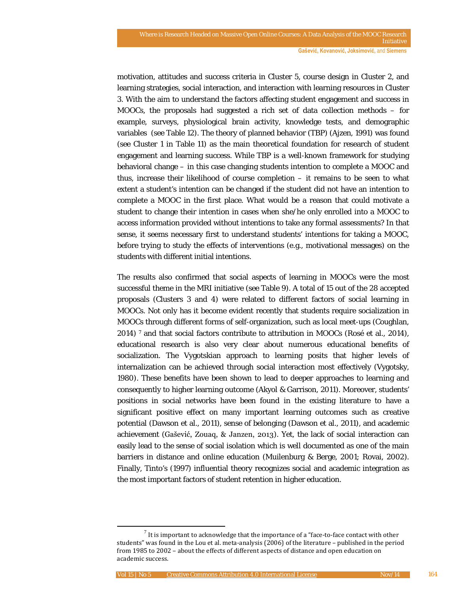motivation, attitudes and success criteria in Cluster 5, course design in Cluster 2, and learning strategies, social interaction, and interaction with learning resources in Cluster 3. With the aim to understand the factors affecting student engagement and success in MOOCs, the proposals had suggested a rich set of data collection methods – for example, surveys, physiological brain activity, knowledge tests, and demographic variables (see [Table 12\)](#page-22-0). The theory of planned behavior (TBP) (Ajzen, 1991) was found (see Cluster 1 in [Table 11\)](#page-21-0) as the main theoretical foundation for research of student engagement and learning success. While TBP is a well-known framework for studying behavioral change – in this case changing students intention to complete a MOOC and thus, increase their likelihood of course completion – it remains to be seen to what extent a student's intention can be changed if the student did not have an intention to complete a MOOC in the first place. What would be a reason that could motivate a student to change their intention in cases when she/he only enrolled into a MOOC to access information provided without intentions to take any formal assessments? In that sense, it seems necessary first to understand students' intentions for taking a MOOC, before trying to study the effects of interventions (e.g., motivational messages) on the students with different initial intentions.

The results also confirmed that social aspects of learning in MOOCs were the most successful theme in the MRI initiative (see [Table 9\)](#page-18-0). A total of 15 out of the 28 accepted proposals (Clusters 3 and 4) were related to different factors of social learning in MOOCs. Not only has it become evident recently that students require socialization in MOOCs through different forms of self-organization, such as local meet-ups (Coughlan, 2014)  $7$  and that social factors contribute to attribution in MOOCs (Rosé et al., 2014), educational research is also very clear about numerous educational benefits of socialization. The Vygotskian approach to learning posits that higher levels of internalization can be achieved through social interaction most effectively (Vygotsky, 1980). These benefits have been shown to lead to deeper approaches to learning and consequently to higher learning outcome (Akyol & Garrison, 2011). Moreover, students' positions in social networks have been found in the existing literature to have a significant positive effect on many important learning outcomes such as creative potential (Dawson et al., 2011), sense of belonging (Dawson et al., 2011), and academic achievement (Gašević, Zouaq, & Janzen, 2013). Yet, the lack of social interaction can easily lead to the sense of social isolation which is well documented as one of the main barriers in distance and online education (Muilenburg & Berge, 2001; Rovai, 2002). Finally, Tinto's (1997) influential theory recognizes social and academic integration as the most important factors of student retention in higher education.

<span id="page-30-0"></span> $7$  It is important to acknowledge that the importance of a "face-to-face contact with other students" was found in the Lou et al. meta-analysis (2006) of the literature – published in the period from 1985 to 2002 – about the effects of different aspects of distance and open education on academic success.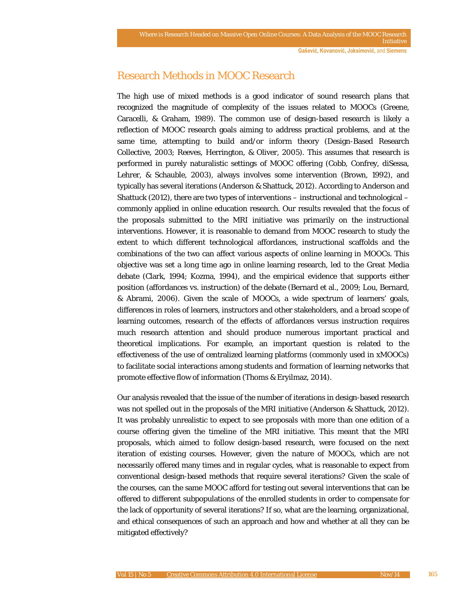### Research Methods in MOOC Research

The high use of mixed methods is a good indicator of sound research plans that recognized the magnitude of complexity of the issues related to MOOCs (Greene, Caracelli, & Graham, 1989). The common use of design-based research is likely a reflection of MOOC research goals aiming to address practical problems, and at the same time, attempting to build and/or inform theory (Design-Based Research Collective, 2003; Reeves, Herrington, & Oliver, 2005). This assumes that research is performed in purely naturalistic settings of MOOC offering (Cobb, Confrey, diSessa, Lehrer, & Schauble, 2003), always involves some intervention (Brown, 1992), and typically has several iterations (Anderson & Shattuck, 2012). According to Anderson and Shattuck (2012), there are two types of interventions – instructional and technological – commonly applied in online education research. Our results revealed that the focus of the proposals submitted to the MRI initiative was primarily on the instructional interventions. However, it is reasonable to demand from MOOC research to study the extent to which different technological affordances, instructional scaffolds and the combinations of the two can affect various aspects of online learning in MOOCs. This objective was set a long time ago in online learning research, led to the Great Media debate (Clark, 1994; Kozma, 1994), and the empirical evidence that supports either position (affordances vs. instruction) of the debate (Bernard et al., 2009; Lou, Bernard, & Abrami, 2006). Given the scale of MOOCs, a wide spectrum of learners' goals, differences in roles of learners, instructors and other stakeholders, and a broad scope of learning outcomes, research of the effects of affordances versus instruction requires much research attention and should produce numerous important practical and theoretical implications. For example, an important question is related to the effectiveness of the use of centralized learning platforms (commonly used in xMOOCs) to facilitate social interactions among students and formation of learning networks that promote effective flow of information (Thoms & Eryilmaz, 2014).

Our analysis revealed that the issue of the number of iterations in design-based research was not spelled out in the proposals of the MRI initiative (Anderson & Shattuck, 2012). It was probably unrealistic to expect to see proposals with more than one edition of a course offering given the timeline of the MRI initiative. This meant that the MRI proposals, which aimed to follow design-based research, were focused on the next iteration of existing courses. However, given the nature of MOOCs, which are not necessarily offered many times and in regular cycles, what is reasonable to expect from conventional design-based methods that require several iterations? Given the scale of the courses, can the same MOOC afford for testing out several interventions that can be offered to different subpopulations of the enrolled students in order to compensate for the lack of opportunity of several iterations? If so, what are the learning, organizational, and ethical consequences of such an approach and how and whether at all they can be mitigated effectively?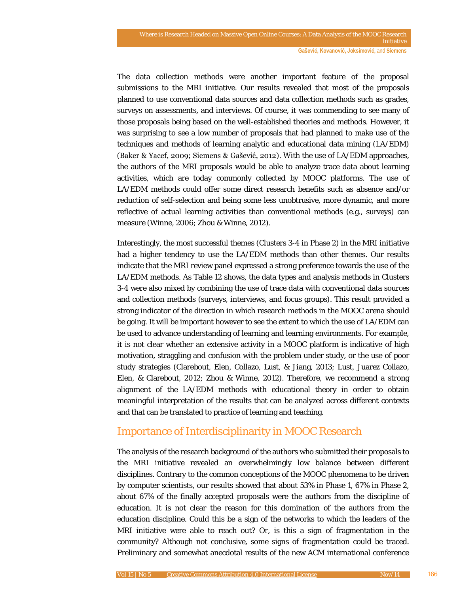The data collection methods were another important feature of the proposal submissions to the MRI initiative. Our results revealed that most of the proposals planned to use conventional data sources and data collection methods such as grades, surveys on assessments, and interviews. Of course, it was commending to see many of those proposals being based on the well-established theories and methods. However, it was surprising to see a low number of proposals that had planned to make use of the techniques and methods of learning analytic and educational data mining (LA/EDM) (Baker & Yacef, 2009; Siemens & Gašević, 2012). With the use of LA/EDM approaches, the authors of the MRI proposals would be able to analyze trace data about learning activities, which are today commonly collected by MOOC platforms. The use of LA/EDM methods could offer some direct research benefits such as absence and/or reduction of self-selection and being some less unobtrusive, more dynamic, and more reflective of actual learning activities than conventional methods (e.g., surveys) can measure (Winne, 2006; Zhou & Winne, 2012).

Interestingly, the most successful themes (Clusters 3-4 in Phase 2) in the MRI initiative had a higher tendency to use the LA/EDM methods than other themes. Our results indicate that the MRI review panel expressed a strong preference towards the use of the LA/EDM methods. As [Table 12](#page-22-0) shows, the data types and analysis methods in Clusters 3-4 were also mixed by combining the use of trace data with conventional data sources and collection methods (surveys, interviews, and focus groups). This result provided a strong indicator of the direction in which research methods in the MOOC arena should be going. It will be important however to see the extent to which the use of LA/EDM can be used to advance understanding of learning and learning environments. For example, it is not clear whether an extensive activity in a MOOC platform is indicative of high motivation, straggling and confusion with the problem under study, or the use of poor study strategies (Clarebout, Elen, Collazo, Lust, & Jiang, 2013; Lust, Juarez Collazo, Elen, & Clarebout, 2012; Zhou & Winne, 2012). Therefore, we recommend a strong alignment of the LA/EDM methods with educational theory in order to obtain meaningful interpretation of the results that can be analyzed across different contexts and that can be translated to practice of learning and teaching.

### Importance of Interdisciplinarity in MOOC Research

The analysis of the research background of the authors who submitted their proposals to the MRI initiative revealed an overwhelmingly low balance between different disciplines. Contrary to the common conceptions of the MOOC phenomena to be driven by computer scientists, our results showed that about 53% in Phase 1, 67% in Phase 2, about 67% of the finally accepted proposals were the authors from the discipline of education. It is not clear the reason for this domination of the authors from the education discipline. Could this be a sign of the networks to which the leaders of the MRI initiative were able to reach out? Or, is this a sign of fragmentation in the community? Although not conclusive, some signs of fragmentation could be traced. Preliminary and somewhat anecdotal results of the new ACM international conference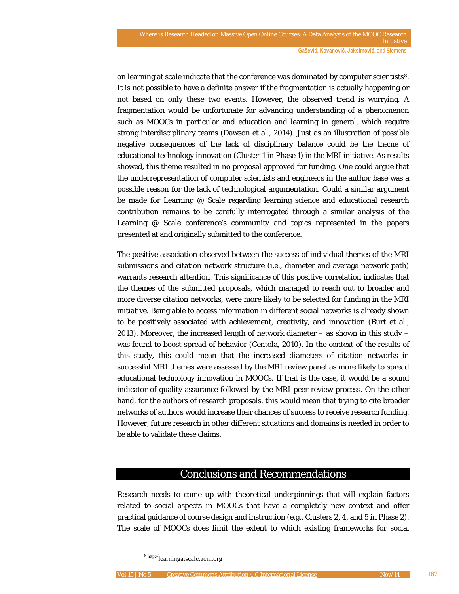on learning at scale indicate that the conference was dominated by computer scientists[8](#page-33-0). It is not possible to have a definite answer if the fragmentation is actually happening or not based on only these two events. However, the observed trend is worrying. A fragmentation would be unfortunate for advancing understanding of a phenomenon such as MOOCs in particular and education and learning in general, which require strong interdisciplinary teams (Dawson et al., 2014). Just as an illustration of possible negative consequences of the lack of disciplinary balance could be the theme of educational technology innovation (Cluster 1 in Phase 1) in the MRI initiative. As results showed, this theme resulted in no proposal approved for funding. One could argue that the underrepresentation of computer scientists and engineers in the author base was a possible reason for the lack of technological argumentation. Could a similar argument be made for Learning @ Scale regarding learning science and educational research contribution remains to be carefully interrogated through a similar analysis of the Learning @ Scale conference's community and topics represented in the papers presented at and originally submitted to the conference.

The positive association observed between the success of individual themes of the MRI submissions and citation network structure (i.e., diameter and average network path) warrants research attention. This significance of this positive correlation indicates that the themes of the submitted proposals, which managed to reach out to broader and more diverse citation networks, were more likely to be selected for funding in the MRI initiative. Being able to access information in different social networks is already shown to be positively associated with achievement, creativity, and innovation (Burt et al., 2013). Moreover, the increased length of network diameter – as shown in this study – was found to boost spread of behavior (Centola, 2010). In the context of the results of this study, this could mean that the increased diameters of citation networks in successful MRI themes were assessed by the MRI review panel as more likely to spread educational technology innovation in MOOCs. If that is the case, it would be a sound indicator of quality assurance followed by the MRI peer-review process. On the other hand, for the authors of research proposals, this would mean that trying to cite broader networks of authors would increase their chances of success to receive research funding. However, future research in other different situations and domains is needed in order to be able to validate these claims.

### Conclusions and Recommendations

<span id="page-33-0"></span>Research needs to come up with theoretical underpinnings that will explain factors related to social aspects in MOOCs that have a completely new context and offer practical guidance of course design and instruction (e.g., Clusters 2, 4, and 5 in Phase 2). The scale of MOOCs does limit the extent to which existing frameworks for social

<sup>8</sup> http://learningatscale.acm.org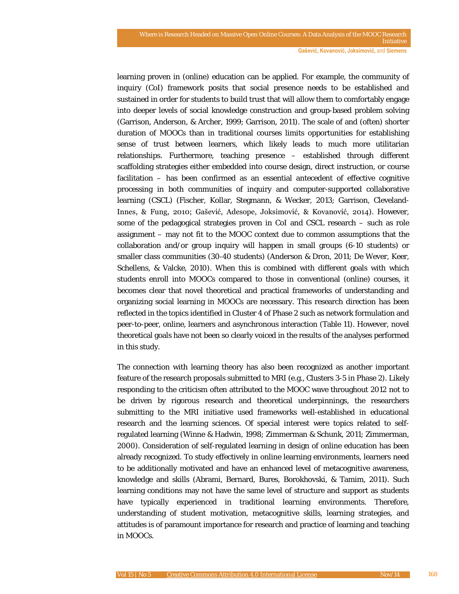learning proven in (online) education can be applied. For example, the community of inquiry (CoI) framework posits that social presence needs to be established and sustained in order for students to build trust that will allow them to comfortably engage into deeper levels of social knowledge construction and group-based problem solving (Garrison, Anderson, & Archer, 1999; Garrison, 2011). The scale of and (often) shorter duration of MOOCs than in traditional courses limits opportunities for establishing sense of trust between learners, which likely leads to much more utilitarian relationships. Furthermore, teaching presence – established through different scaffolding strategies either embedded into course design, direct instruction, or course facilitation – has been confirmed as an essential antecedent of effective cognitive processing in both communities of inquiry and computer-supported collaborative learning (CSCL) (Fischer, Kollar, Stegmann, & Wecker, 2013; Garrison, Cleveland-Innes, & Fung, 2010; Gašević, Adesope, Joksimović, & Kovanović, 2014). However, some of the pedagogical strategies proven in CoI and CSCL research – such as role assignment – may not fit to the MOOC context due to common assumptions that the collaboration and/or group inquiry will happen in small groups (6-10 students) or smaller class communities (30-40 students) (Anderson & Dron, 2011; De Wever, Keer, Schellens, & Valcke, 2010). When this is combined with different goals with which students enroll into MOOCs compared to those in conventional (online) courses, it becomes clear that novel theoretical and practical frameworks of understanding and organizing social learning in MOOCs are necessary. This research direction has been reflected in the topics identified in Cluster 4 of Phase 2 such as network formulation and peer-to-peer, online, learners and asynchronous interaction [\(Table 11\)](#page-21-0). However, novel theoretical goals have not been so clearly voiced in the results of the analyses performed in this study.

The connection with learning theory has also been recognized as another important feature of the research proposals submitted to MRI (e.g., Clusters 3-5 in Phase 2). Likely responding to the criticism often attributed to the MOOC wave throughout 2012 not to be driven by rigorous research and theoretical underpinnings, the researchers submitting to the MRI initiative used frameworks well-established in educational research and the learning sciences. Of special interest were topics related to selfregulated learning (Winne & Hadwin, 1998; Zimmerman & Schunk, 2011; Zimmerman, 2000). Consideration of self-regulated learning in design of online education has been already recognized. To study effectively in online learning environments, learners need to be additionally motivated and have an enhanced level of metacognitive awareness, knowledge and skills (Abrami, Bernard, Bures, Borokhovski, & Tamim, 2011). Such learning conditions may not have the same level of structure and support as students have typically experienced in traditional learning environments. Therefore, understanding of student motivation, metacognitive skills, learning strategies, and attitudes is of paramount importance for research and practice of learning and teaching in MOOCs.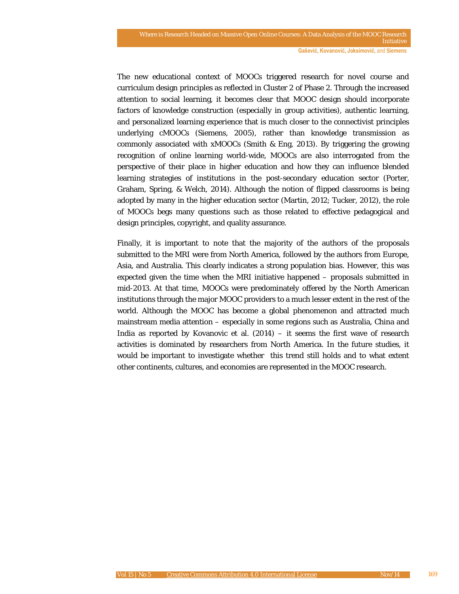The new educational context of MOOCs triggered research for novel course and curriculum design principles as reflected in Cluster 2 of Phase 2. Through the increased attention to social learning, it becomes clear that MOOC design should incorporate factors of knowledge construction (especially in group activities), authentic learning, and personalized learning experience that is much closer to the connectivist principles underlying cMOOCs (Siemens, 2005), rather than knowledge transmission as commonly associated with xMOOCs (Smith & Eng, 2013). By triggering the growing recognition of online learning world-wide, MOOCs are also interrogated from the perspective of their place in higher education and how they can influence blended learning strategies of institutions in the post-secondary education sector (Porter, Graham, Spring, & Welch, 2014). Although the notion of flipped classrooms is being adopted by many in the higher education sector (Martin, 2012; Tucker, 2012), the role of MOOCs begs many questions such as those related to effective pedagogical and design principles, copyright, and quality assurance.

Finally, it is important to note that the majority of the authors of the proposals submitted to the MRI were from North America, followed by the authors from Europe, Asia, and Australia. This clearly indicates a strong population bias. However, this was expected given the time when the MRI initiative happened – proposals submitted in mid-2013. At that time, MOOCs were predominately offered by the North American institutions through the major MOOC providers to a much lesser extent in the rest of the world. Although the MOOC has become a global phenomenon and attracted much mainstream media attention – especially in some regions such as Australia, China and India as reported by Kovanovic et al.  $(2014) -$  it seems the first wave of research activities is dominated by researchers from North America. In the future studies, it would be important to investigate whether this trend still holds and to what extent other continents, cultures, and economies are represented in the MOOC research.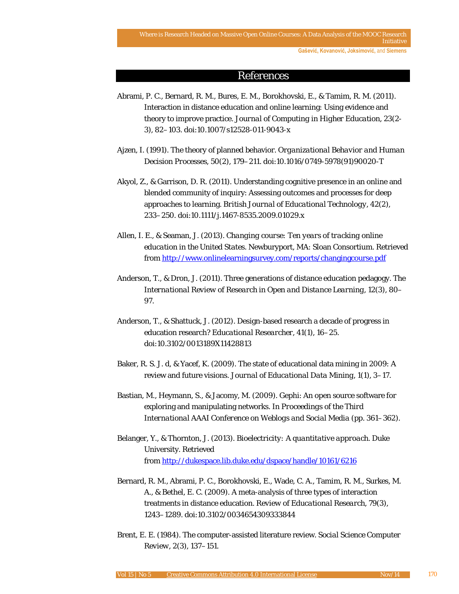### References

- Abrami, P. C., Bernard, R. M., Bures, E. M., Borokhovski, E., & Tamim, R. M. (2011). Interaction in distance education and online learning: Using evidence and theory to improve practice. *Journal of Computing in Higher Education*, *23*(2- 3), 82–103. doi:10.1007/s12528-011-9043-x
- Ajzen, I. (1991). The theory of planned behavior. *Organizational Behavior and Human Decision Processes*, *50*(2), 179–211. doi:10.1016/0749-5978(91)90020-T
- Akyol, Z., & Garrison, D. R. (2011). Understanding cognitive presence in an online and blended community of inquiry: Assessing outcomes and processes for deep approaches to learning. *British Journal of Educational Technology*, *42*(2), 233–250. doi:10.1111/j.1467-8535.2009.01029.x
- Allen, I. E., & Seaman, J. (2013). *Changing course: Ten years of tracking online education in the United States*. Newburyport, MA: Sloan Consortium. Retrieved from<http://www.onlinelearningsurvey.com/reports/changingcourse.pdf>
- Anderson, T., & Dron, J. (2011). Three generations of distance education pedagogy. *The International Review of Research in Open and Distance Learning*, *12*(3), 80– 97.
- Anderson, T., & Shattuck, J. (2012). Design-based research a decade of progress in education research? *Educational Researcher*, *41*(1), 16–25. doi:10.3102/0013189X11428813
- Baker, R. S. J. d, & Yacef, K. (2009). The state of educational data mining in 2009: A review and future visions. *Journal of Educational Data Mining*, *1*(1), 3–17.
- Bastian, M., Heymann, S., & Jacomy, M. (2009). Gephi: An open source software for exploring and manipulating networks. In *Proceedings of the Third International AAAI Conference on Weblogs and Social Media* (pp. 361–362).
- Belanger, Y., & Thornton, J. (2013). *Bioelectricity: A quantitative approach*. Duke University. Retrieved from<http://dukespace.lib.duke.edu/dspace/handle/10161/6216>
- Bernard, R. M., Abrami, P. C., Borokhovski, E., Wade, C. A., Tamim, R. M., Surkes, M. A., & Bethel, E. C. (2009). A meta-analysis of three types of interaction treatments in distance education. *Review of Educational Research*, *79*(3), 1243–1289. doi:10.3102/0034654309333844
- Brent, E. E. (1984). The computer-assisted literature review. *Social Science Computer Review*, *2*(3), 137–151.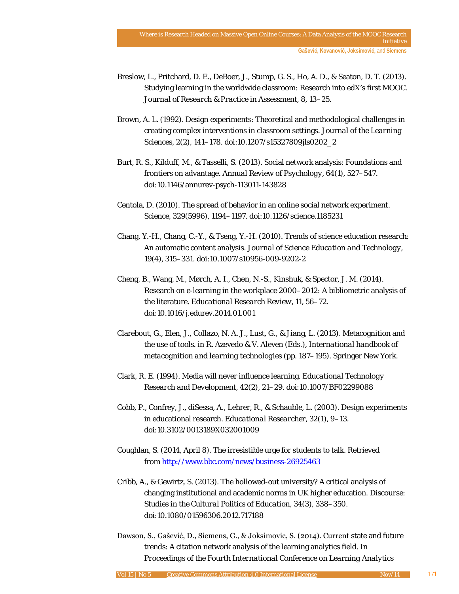- Breslow, L., Pritchard, D. E., DeBoer, J., Stump, G. S., Ho, A. D., & Seaton, D. T. (2013). Studying learning in the worldwide classroom: Research into edX's first MOOC. *Journal of Research & Practice in Assessment*, *8*, 13–25.
- Brown, A. L. (1992). Design experiments: Theoretical and methodological challenges in creating complex interventions in classroom settings. *Journal of the Learning Sciences*, *2*(2), 141–178. doi:10.1207/s15327809jls0202\_2
- Burt, R. S., Kilduff, M., & Tasselli, S. (2013). Social network analysis: Foundations and frontiers on advantage. *Annual Review of Psychology*, *64*(1), 527–547. doi:10.1146/annurev-psych-113011-143828
- Centola, D. (2010). The spread of behavior in an online social network experiment. *Science*, *329*(5996), 1194–1197. doi:10.1126/science.1185231
- Chang, Y.-H., Chang, C.-Y., & Tseng, Y.-H. (2010). Trends of science education research: An automatic content analysis. *Journal of Science Education and Technology*, *19*(4), 315–331. doi:10.1007/s10956-009-9202-2
- Cheng, B., Wang, M., Mørch, A. I., Chen, N.-S., Kinshuk, & Spector, J. M. (2014). Research on e-learning in the workplace 2000–2012: A bibliometric analysis of the literature. *Educational Research Review*, *11*, 56–72. doi:10.1016/j.edurev.2014.01.001
- Clarebout, G., Elen, J., Collazo, N. A. J., Lust, G., & Jiang, L. (2013). Metacognition and the use of tools. in R. Azevedo & V. Aleven (Eds.), *International handbook of metacognition and learning technologies* (pp. 187–195). Springer New York.
- Clark, R. E. (1994). Media will never influence learning. *Educational Technology Research and Development*, *42*(2), 21–29. doi:10.1007/BF02299088
- Cobb, P., Confrey, J., diSessa, A., Lehrer, R., & Schauble, L. (2003). Design experiments in educational research. *Educational Researcher*, *32*(1), 9–13. doi:10.3102/0013189X032001009
- Coughlan, S. (2014, April 8). The irresistible urge for students to talk. Retrieved from<http://www.bbc.com/news/business-26925463>
- Cribb, A., & Gewirtz, S. (2013). The hollowed-out university? A critical analysis of changing institutional and academic norms in UK higher education. *Discourse: Studies in the Cultural Politics of Education*, *34*(3), 338–350. doi:10.1080/01596306.2012.717188
- Dawson, S., Gašević, D., Siemens, G., & Joksimovic, S. (2014). Current state and future trends: A citation network analysis of the learning analytics field. In *Proceedings of the Fourth International Conference on Learning Analytics*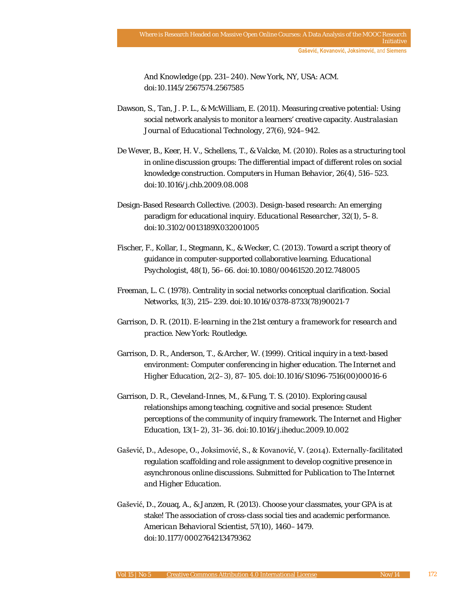*And Knowledge* (pp. 231–240). New York, NY, USA: ACM. doi:10.1145/2567574.2567585

- Dawson, S., Tan, J. P. L., & McWilliam, E. (2011). Measuring creative potential: Using social network analysis to monitor a learners' creative capacity. *Australasian Journal of Educational Technology*, *27*(6), 924–942.
- De Wever, B., Keer, H. V., Schellens, T., & Valcke, M. (2010). Roles as a structuring tool in online discussion groups: The differential impact of different roles on social knowledge construction. *Computers in Human Behavior*, *26*(4), 516–523. doi:10.1016/j.chb.2009.08.008
- Design-Based Research Collective. (2003). Design-based research: An emerging paradigm for educational inquiry. *Educational Researcher*, *32*(1), 5–8. doi:10.3102/0013189X032001005
- Fischer, F., Kollar, I., Stegmann, K., & Wecker, C. (2013). Toward a script theory of guidance in computer-supported collaborative learning. *Educational Psychologist*, *48*(1), 56–66. doi:10.1080/00461520.2012.748005
- Freeman, L. C. (1978). Centrality in social networks conceptual clarification. *Social Networks*, *1*(3), 215–239. doi:10.1016/0378-8733(78)90021-7
- Garrison, D. R. (2011). *E-learning in the 21st century a framework for research and practice*. New York: Routledge.
- Garrison, D. R., Anderson, T., & Archer, W. (1999). Critical inquiry in a text-based environment: Computer conferencing in higher education. *The Internet and Higher Education*, *2*(2–3), 87–105. doi:10.1016/S1096-7516(00)00016-6
- Garrison, D. R., Cleveland-Innes, M., & Fung, T. S. (2010). Exploring causal relationships among teaching, cognitive and social presence: Student perceptions of the community of inquiry framework. *The Internet and Higher Education*, *13*(1–2), 31–36. doi:10.1016/j.iheduc.2009.10.002
- Gašević, D., Adesope, O., Joksimović, S., & Kovanović, V. (2014). Externally-facilitated regulation scaffolding and role assignment to develop cognitive presence in asynchronous online discussions. *Submitted for Publication to The Internet and Higher Education*.
- Gašević, D., Zouaq, A., & Janzen, R. (2013). Choose your classmates, your GPA is at stake! The association of cross-class social ties and academic performance. *American Behavioral Scientist*, *57*(10), 1460–1479. doi:10.1177/0002764213479362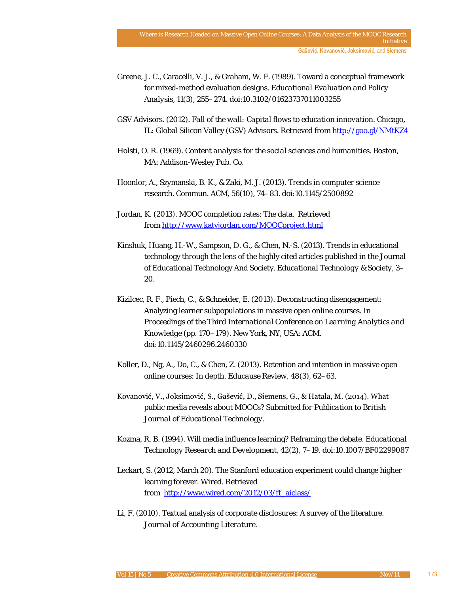- Greene, J. C., Caracelli, V. J., & Graham, W. F. (1989). Toward a conceptual framework for mixed-method evaluation designs. *Educational Evaluation and Policy Analysis*, *11*(3), 255–274. doi:10.3102/01623737011003255
- GSV Advisors. (2012). *Fall of the wall: Capital flows to education innovation*. Chicago, IL: Global Silicon Valley (GSV) Advisors. Retrieved from <http://goo.gl/NMtKZ4>
- Holsti, O. R. (1969). *Content analysis for the social sciences and humanities*. Boston, MA: Addison-Wesley Pub. Co.
- Hoonlor, A., Szymanski, B. K., & Zaki, M. J. (2013). Trends in computer science research. *Commun. ACM*, *56*(10), 74–83. doi:10.1145/2500892
- Jordan, K. (2013). MOOC completion rates: The data. Retrieved from<http://www.katyjordan.com/MOOCproject.html>
- Kinshuk, Huang, H.-W., Sampson, D. G., & Chen, N.-S. (2013). Trends in educational technology through the lens of the highly cited articles published in the Journal of Educational Technology And Society. *Educational Technology & Society*, 3– 20.
- Kizilcec, R. F., Piech, C., & Schneider, E. (2013). Deconstructing disengagement: Analyzing learner subpopulations in massive open online courses. In *Proceedings of the Third International Conference on Learning Analytics and Knowledge* (pp. 170–179). New York, NY, USA: ACM. doi:10.1145/2460296.2460330
- Koller, D., Ng, A., Do, C., & Chen, Z. (2013). Retention and intention in massive open online courses: In depth. *Educause Review*, *48*(3), 62–63.
- Kovanović, V., Joksimović, S., Gašević, D., Siemens, G., & Hatala, M. (2014). What public media reveals about MOOCs? *Submitted for Publication to British Journal of Educational Technology*.
- Kozma, R. B. (1994). Will media influence learning? Reframing the debate. *Educational Technology Research and Development*, *42*(2), 7–19. doi:10.1007/BF02299087
- Leckart, S. (2012, March 20). The Stanford education experiment could change higher learning forever. *Wired*. Retrieved from [http://www.wired.com/2012/03/ff\\_aiclass/](http://www.wired.com/2012/03/ff_aiclass/)
- Li, F. (2010). Textual analysis of corporate disclosures: A survey of the literature. *Journal of Accounting Literature.*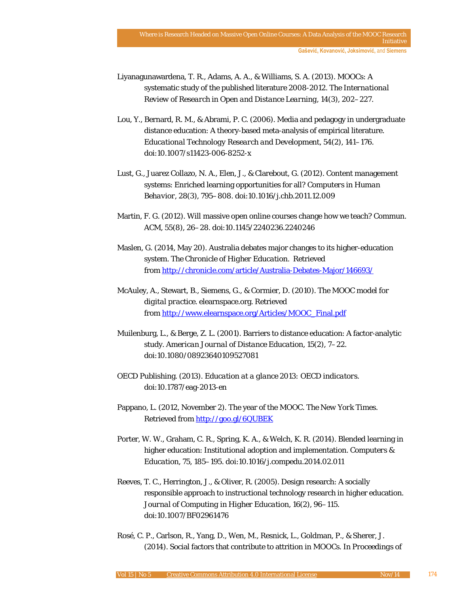- Liyanagunawardena, T. R., Adams, A. A., & Williams, S. A. (2013). MOOCs: A systematic study of the published literature 2008-2012. *The International Review of Research in Open and Distance Learning*, *14*(3), 202–227.
- Lou, Y., Bernard, R. M., & Abrami, P. C. (2006). Media and pedagogy in undergraduate distance education: A theory-based meta-analysis of empirical literature. *Educational Technology Research and Development*, *54*(2), 141–176. doi:10.1007/s11423-006-8252-x
- Lust, G., Juarez Collazo, N. A., Elen, J., & Clarebout, G. (2012). Content management systems: Enriched learning opportunities for all? *Computers in Human Behavior*, *28*(3), 795–808. doi:10.1016/j.chb.2011.12.009
- Martin, F. G. (2012). Will massive open online courses change how we teach? *Commun. ACM*, *55*(8), 26–28. doi:10.1145/2240236.2240246
- Maslen, G. (2014, May 20). Australia debates major changes to its higher-education system. *The Chronicle of Higher Education*. Retrieved from<http://chronicle.com/article/Australia-Debates-Major/146693/>
- McAuley, A., Stewart, B., Siemens, G., & Cormier, D. (2010). *The MOOC model for digital practice*. elearnspace.org. Retrieved from [http://www.elearnspace.org/Articles/MOOC\\_Final.pdf](http://www.elearnspace.org/Articles/MOOC_Final.pdf)
- Muilenburg, L., & Berge, Z. L. (2001). Barriers to distance education: A factor‐analytic study. *American Journal of Distance Education*, *15*(2), 7–22. doi:10.1080/08923640109527081
- OECD Publishing. (2013). *Education at a glance 2013: OECD indicators*. doi:10.1787/eag-2013-en
- Pappano, L. (2012, November 2). The year of the MOOC. *The New York Times*. Retrieved from<http://goo.gl/6QUBEK>
- Porter, W. W., Graham, C. R., Spring, K. A., & Welch, K. R. (2014). Blended learning in higher education: Institutional adoption and implementation. *Computers & Education*, *75*, 185–195. doi:10.1016/j.compedu.2014.02.011
- Reeves, T. C., Herrington, J., & Oliver, R. (2005). Design research: A socially responsible approach to instructional technology research in higher education. *Journal of Computing in Higher Education*, *16*(2), 96–115. doi:10.1007/BF02961476
- Rosé, C. P., Carlson, R., Yang, D., Wen, M., Resnick, L., Goldman, P., & Sherer, J. (2014). Social factors that contribute to attrition in MOOCs. In *Proceedings of*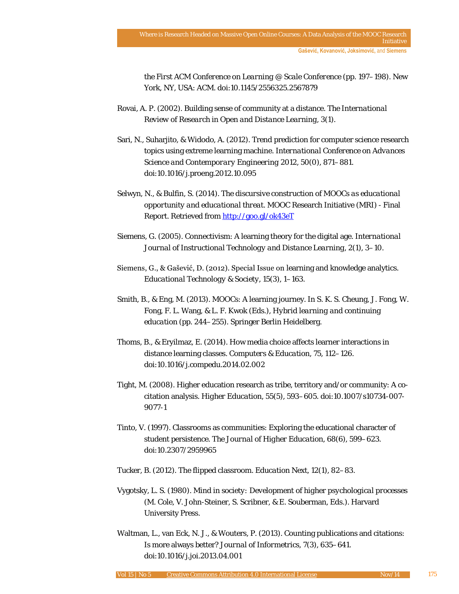*the First ACM Conference on Learning @ Scale Conference* (pp. 197–198). New York, NY, USA: ACM. doi:10.1145/2556325.2567879

- Rovai, A. P. (2002). Building sense of community at a distance. *The International Review of Research in Open and Distance Learning*, *3*(1).
- Sari, N., Suharjito, & Widodo, A. (2012). Trend prediction for computer science research topics using extreme learning machine. *International Conference on Advances Science and Contemporary Engineering 2012*, *50*(0), 871–881. doi:10.1016/j.proeng.2012.10.095
- Selwyn, N., & Bulfin, S. (2014). *The discursive construction of MOOCs as educational opportunity and educational threat*. MOOC Research Initiative (MRI) - Final Report. Retrieved from <http://goo.gl/ok43eT>
- Siemens, G. (2005). Connectivism: A learning theory for the digital age. *International Journal of Instructional Technology and Distance Learning*, *2*(1), 3–10.
- Siemens, G., & Gašević, D. (2012). Special Issue on learning and knowledge analytics. *Educational Technology & Society*, *15*(3), 1–163.
- Smith, B., & Eng, M. (2013). MOOCs: A learning journey. In S. K. S. Cheung, J. Fong, W. Fong, F. L. Wang, & L. F. Kwok (Eds.), *Hybrid learning and continuing education* (pp. 244–255). Springer Berlin Heidelberg.
- Thoms, B., & Eryilmaz, E. (2014). How media choice affects learner interactions in distance learning classes. *Computers & Education*, *75*, 112–126. doi:10.1016/j.compedu.2014.02.002
- Tight, M. (2008). Higher education research as tribe, territory and/or community: A cocitation analysis. *Higher Education*, *55*(5), 593–605. doi:10.1007/s10734-007- 9077-1
- Tinto, V. (1997). Classrooms as communities: Exploring the educational character of student persistence. *The Journal of Higher Education*, *68*(6), 599–623. doi:10.2307/2959965
- Tucker, B. (2012). The flipped classroom. *Education Next*, *12*(1), 82–83.
- Vygotsky, L. S. (1980). *Mind in society: Development of higher psychological processes* (M. Cole, V. John-Steiner, S. Scribner, & E. Souberman, Eds.). Harvard University Press.
- Waltman, L., van Eck, N. J., & Wouters, P. (2013). Counting publications and citations: Is more always better? *Journal of Informetrics*, *7*(3), 635–641. doi:10.1016/j.joi.2013.04.001